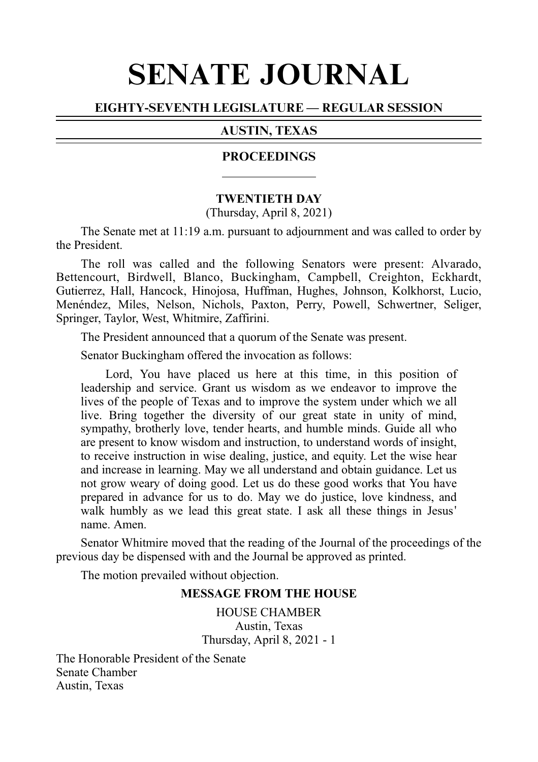# SENATE JOURNAL

# EIGHTY-SEVENTH LEGISLATURE — REGULAR SESSION

# AUSTIN, TEXAS

#### PROCEEDINGS

#### **TWENTIETH DAY**

(Thursday, April 8, 2021)

The Senate met at 11:19 a.m. pursuant to adjournment and was called to order by the President.

The roll was called and the following Senators were present: Alvarado, Bettencourt, Birdwell, Blanco, Buckingham, Campbell, Creighton, Eckhardt, Gutierrez, Hall, Hancock, Hinojosa, Huffman, Hughes, Johnson, Kolkhorst, Lucio, Menéndez, Miles, Nelson, Nichols, Paxton, Perry, Powell, Schwertner, Seliger, Springer, Taylor, West, Whitmire, Zaffirini.

The President announced that a quorum of the Senate was present.

Senator Buckingham offered the invocation as follows:

Lord, You have placed us here at this time, in this position of leadership and service. Grant us wisdom as we endeavor to improve the lives of the people of Texas and to improve the system under which we all live. Bring together the diversity of our great state in unity of mind, sympathy, brotherly love, tender hearts, and humble minds. Guide all who are present to know wisdom and instruction, to understand words of insight, to receive instruction in wise dealing, justice, and equity. Let the wise hear and increase in learning. May we all understand and obtain guidance. Let us not grow weary of doing good. Let us do these good works that You have prepared in advance for us to do. May we do justice, love kindness, and walk humbly as we lead this great state. I ask all these things in Jesus' name. Amen.

Senator Whitmire moved that the reading of the Journal of the proceedings of the previous day be dispensed with and the Journal be approved as printed.

The motion prevailed without objection.

#### **MESSAGE FROM THE HOUSE**

HOUSE CHAMBER Austin, Texas Thursday, April 8, 2021 - 1

The Honorable President of the Senate Senate Chamber Austin, Texas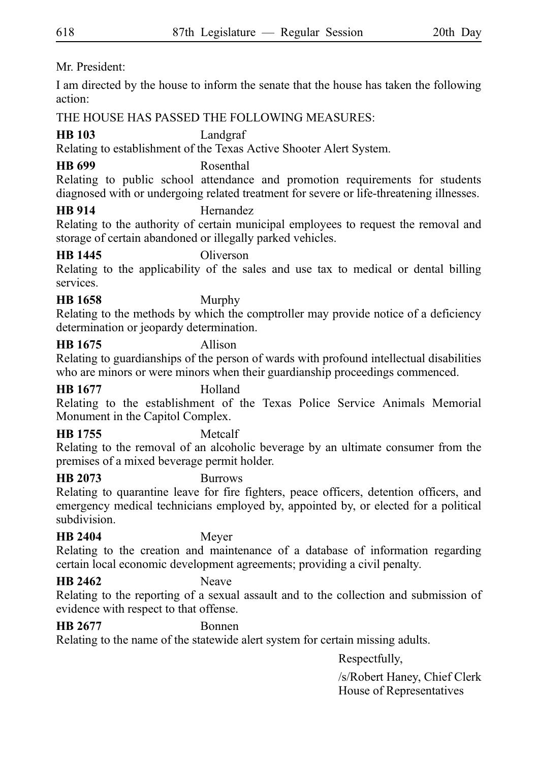Mr. President:

I am directed by the house to inform the senate that the house has taken the following action:

THE HOUSE HAS PASSED THE FOLLOWING MEASURES:

# **HB 103** Landgraf

Relating to establishment of the Texas Active Shooter Alert System.

# **HB 699** Rosenthal

Relating to public school attendance and promotion requirements for students diagnosed with or undergoing related treatment for severe or life-threatening illnesses.

# **HB 914** Hernandez

Relating to the authority of certain municipal employees to request the removal and storage of certain abandoned or illegally parked vehicles.

# **HB 1445** Oliverson

Relating to the applicability of the sales and use tax to medical or dental billing services.

**HB 1658** Murphy

Relating to the methods by which the comptroller may provide notice of a deficiency determination or jeopardy determination.

# **HB 1675** Allison

Relating to guardianships of the person of wards with profound intellectual disabilities who are minors or were minors when their guardianship proceedings commenced.

# **HB 1677** Holland

Relating to the establishment of the Texas Police Service Animals Memorial Monument in the Capitol Complex.

# **HB 1755** Metcalf

Relating to the removal of an alcoholic beverage by an ultimate consumer from the premises of a mixed beverage permit holder.

# **HB 2073** Burrows

Relating to quarantine leave for fire fighters, peace officers, detention officers, and emergency medical technicians employed by, appointed by, or elected for a political subdivision.

# **HB 2404** Meyer

Relating to the creation and maintenance of a database of information regarding certain local economic development agreements; providing a civil penalty.

# **HB 2462** Neave

Relating to the reporting of a sexual assault and to the collection and submission of evidence with respect to that offense.

### **HB 2677** Bonnen

Relating to the name of the statewide alert system for certain missing adults.

Respectfully,

/s/Robert Haney, Chief Clerk House of Representatives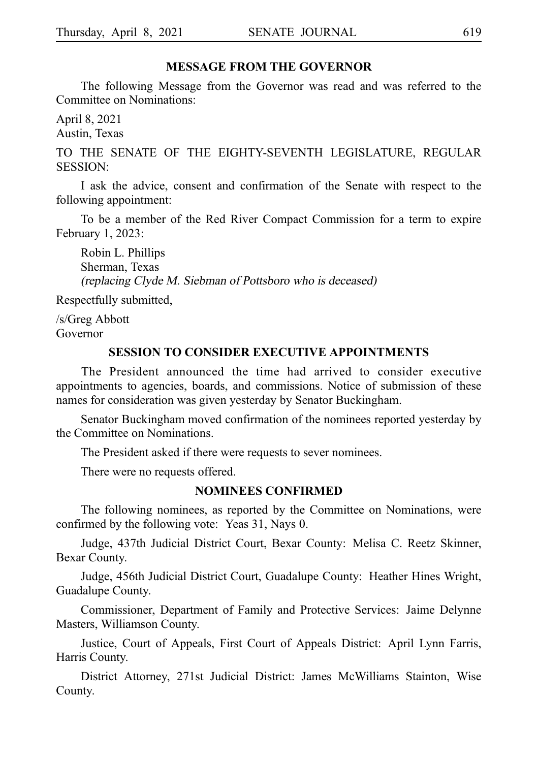#### **MESSAGE FROM THE GOVERNOR**

The following Message from the Governor was read and was referred to the Committee on Nominations:

April 8, 2021 Austin, Texas

TO THE SENATE OF THE EIGHTY-SEVENTH LEGISLATURE, REGULAR SESSION:

I ask the advice, consent and confirmation of the Senate with respect to the following appointment:

To be a member of the Red River Compact Commission for a term to expire February 1, 2023:

Robin L. Phillips Sherman, Texas (replacing Clyde M. Siebman of Pottsboro who is deceased)

Respectfully submitted,

/s/Greg Abbott Governor

#### **SESSION TO CONSIDER EXECUTIVE APPOINTMENTS**

The President announced the time had arrived to consider executive appointments to agencies, boards, and commissions. Notice of submission of these names for consideration was given yesterday by Senator Buckingham.

Senator Buckingham moved confirmation of the nominees reported yesterday by the Committee on Nominations.

The President asked if there were requests to sever nominees.

There were no requests offered.

#### **NOMINEES CONFIRMED**

The following nominees, as reported by the Committee on Nominations, were confirmed by the following vote: Yeas 31, Nays 0.

Judge, 437th Judicial District Court, Bexar County: Melisa C. Reetz Skinner, Bexar County.

Judge, 456th Judicial District Court, Guadalupe County: Heather Hines Wright, Guadalupe County.

Commissioner, Department of Family and Protective Services: Jaime Delynne Masters, Williamson County.

Justice, Court of Appeals, First Court of Appeals District: April Lynn Farris, Harris County.

District Attorney, 271st Judicial District: James McWilliams Stainton, Wise County.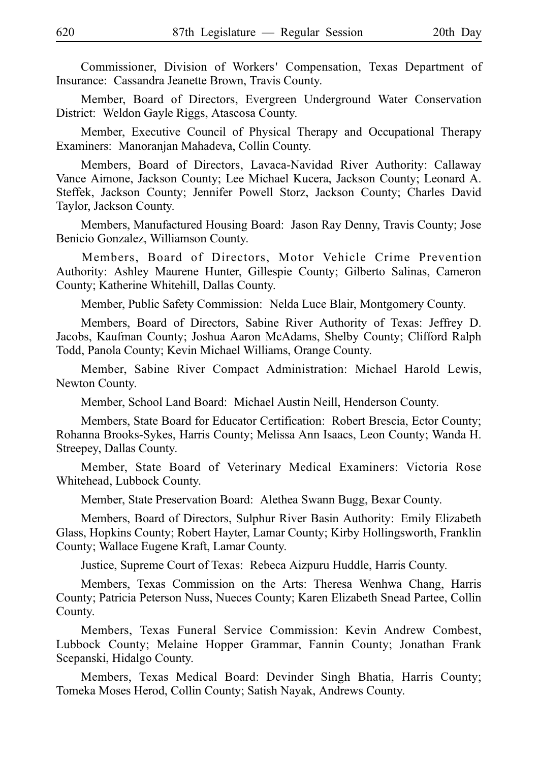Commissioner, Division of Workers' Compensation, Texas Department of Insurance: Cassandra Jeanette Brown, Travis County.

Member, Board of Directors, Evergreen Underground Water Conservation District: Weldon Gayle Riggs, Atascosa County.

Member, Executive Council of Physical Therapy and Occupational Therapy Examiners: Manoranjan Mahadeva, Collin County.

Members, Board of Directors, Lavaca-Navidad River Authority: Callaway Vance Aimone, Jackson County; Lee Michael Kucera, Jackson County; Leonard A. Steffek, Jackson County; Jennifer Powell Storz, Jackson County; Charles David Taylor, Jackson County.

Members, Manufactured Housing Board: Jason Ray Denny, Travis County; Jose Benicio Gonzalez, Williamson County.

Members, Board of Directors, Motor Vehicle Crime Prevention Authority: Ashley Maurene Hunter, Gillespie County; Gilberto Salinas, Cameron County; Katherine Whitehill, Dallas County.

Member, Public Safety Commission: Nelda Luce Blair, Montgomery County.

Members, Board of Directors, Sabine River Authority of Texas: Jeffrey D. Jacobs, Kaufman County; Joshua Aaron McAdams, Shelby County; Clifford Ralph Todd, Panola County; Kevin Michael Williams, Orange County.

Member, Sabine River Compact Administration: Michael Harold Lewis, Newton County.

Member, School Land Board: Michael Austin Neill, Henderson County.

Members, State Board for Educator Certification: Robert Brescia, Ector County; Rohanna Brooks-Sykes, Harris County; Melissa Ann Isaacs, Leon County; Wanda H. Streepey, Dallas County.

Member, State Board of Veterinary Medical Examiners: Victoria Rose Whitehead, Lubbock County.

Member, State Preservation Board: Alethea Swann Bugg, Bexar County.

Members, Board of Directors, Sulphur River Basin Authority: Emily Elizabeth Glass, Hopkins County; Robert Hayter, Lamar County; Kirby Hollingsworth, Franklin County; Wallace Eugene Kraft, Lamar County.

Justice, Supreme Court of Texas: Rebeca Aizpuru Huddle, Harris County.

Members, Texas Commission on the Arts: Theresa Wenhwa Chang, Harris County; Patricia Peterson Nuss, Nueces County; Karen Elizabeth Snead Partee, Collin County.

Members, Texas Funeral Service Commission: Kevin Andrew Combest, Lubbock County; Melaine Hopper Grammar, Fannin County; Jonathan Frank Scepanski, Hidalgo County.

Members, Texas Medical Board: Devinder Singh Bhatia, Harris County; Tomeka Moses Herod, Collin County; Satish Nayak, Andrews County.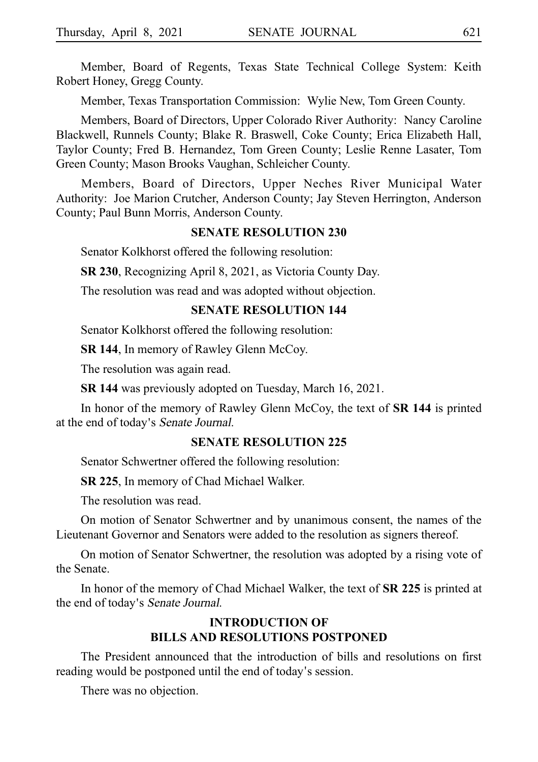Member, Board of Regents, Texas State Technical College System: Keith Robert Honey, Gregg County.

Member, Texas Transportation Commission: Wylie New, Tom Green County.

Members, Board of Directors, Upper Colorado River Authority: Nancy Caroline Blackwell, Runnels County; Blake R. Braswell, Coke County; Erica Elizabeth Hall, Taylor County; Fred B. Hernandez, Tom Green County; Leslie Renne Lasater, Tom Green County; Mason Brooks Vaughan, Schleicher County.

Members, Board of Directors, Upper Neches River Municipal Water Authority: Joe Marion Crutcher, Anderson County; Jay Steven Herrington, Anderson County; Paul Bunn Morris, Anderson County.

#### **SENATE RESOLUTION 230**

Senator Kolkhorst offered the following resolution:

**SR 230**, Recognizing April 8, 2021, as Victoria County Day.

The resolution was read and was adopted without objection.

#### **SENATE RESOLUTION 144**

Senator Kolkhorst offered the following resolution:

**SR 144**, In memory of Rawley Glenn McCoy.

The resolution was again read.

**SR 144** was previously adopted on Tuesday, March 16, 2021.

In honor of the memory of Rawley Glenn McCoy, the text of **SR 144** is printed at the end of today's Senate Journal.

### **SENATE RESOLUTION 225**

Senator Schwertner offered the following resolution:

**SR 225**, In memory of Chad Michael Walker.

The resolution was read.

On motion of Senator Schwertner and by unanimous consent, the names of the Lieutenant Governor and Senators were added to the resolution as signers thereof.

On motion of Senator Schwertner, the resolution was adopted by a rising vote of the Senate.

In honor of the memory of Chad Michael Walker, the text of **SR 225** is printed at the end of today's Senate Journal.

# **INTRODUCTION OF BILLS AND RESOLUTIONS POSTPONED**

The President announced that the introduction of bills and resolutions on first reading would be postponed until the end of today's session.

There was no objection.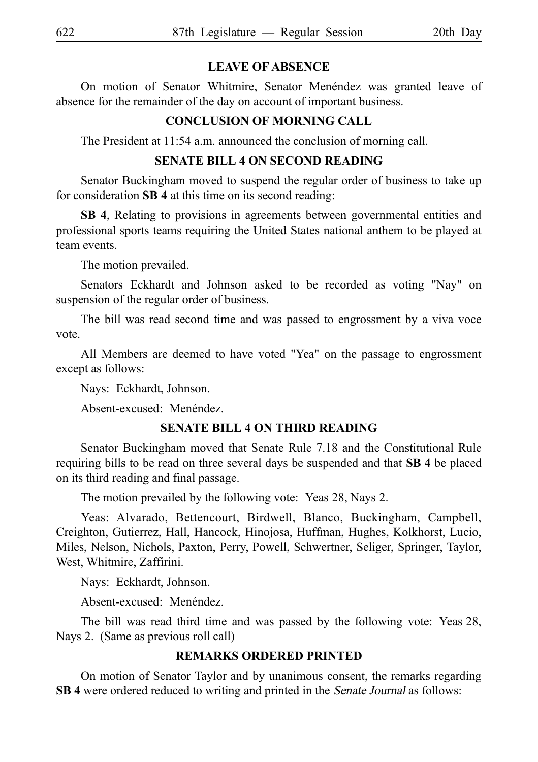# **LEAVE OF ABSENCE**

On motion of Senator Whitmire, Senator Menéndez was granted leave of absence for the remainder of the day on account of important business.

### **CONCLUSION OF MORNING CALL**

The President at 11:54 a.m. announced the conclusion of morning call.

### **SENATE BILL 4 ON SECOND READING**

Senator Buckingham moved to suspend the regular order of business to take up for consideration **SB 4** at this time on its second reading:

**SB 4**, Relating to provisions in agreements between governmental entities and professional sports teams requiring the United States national anthem to be played at team events.

The motion prevailed.

Senators Eckhardt and Johnson asked to be recorded as voting "Nay" on suspension of the regular order of business.

The bill was read second time and was passed to engrossment by a viva voce vote.

All Members are deemed to have voted "Yea" on the passage to engrossment except as follows:

Nays: Eckhardt, Johnson.

Absent-excused: Menéndez.

### **SENATE BILL 4 ON THIRD READING**

Senator Buckingham moved that Senate Rule 7.18 and the Constitutional Rule requiring bills to be read on three several days be suspended and that SB 4 be placed on its third reading and final passage.

The motion prevailed by the following vote: Yeas 28, Nays 2.

Yeas: Alvarado, Bettencourt, Birdwell, Blanco, Buckingham, Campbell, Creighton, Gutierrez, Hall, Hancock, Hinojosa, Huffman, Hughes, Kolkhorst, Lucio, Miles, Nelson, Nichols, Paxton, Perry, Powell, Schwertner, Seliger, Springer, Taylor, West, Whitmire, Zaffirini.

Nays: Eckhardt, Johnson.

Absent-excused: Menéndez.

The bill was read third time and was passed by the following vote: Yeas 28, Nays 2. (Same as previous roll call)

### **REMARKS ORDERED PRINTED**

On motion of Senator Taylor and by unanimous consent, the remarks regarding **SB 4** were ordered reduced to writing and printed in the Senate Journal as follows: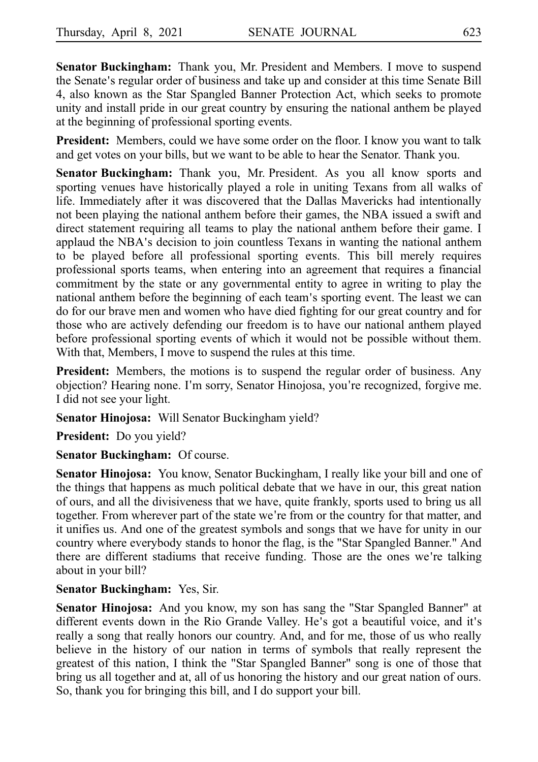**Senator Buckingham:** Thank you, Mr. President and Members. I move to suspend the Senate's regular order of business and take up and consider at this time Senate Bill 4, also known as the Star Spangled Banner Protection Act, which seeks to promote unity and install pride in our great country by ensuring the national anthem be played at the beginning of professional sporting events.

**President:** Members, could we have some order on the floor. I know you want to talk and get votes on your bills, but we want to be able to hear the Senator. Thank you.

**Senator Buckingham:** Thank you, Mr. President. As you all know sports and sporting venues have historically played a role in uniting Texans from all walks of life. Immediately after it was discovered that the Dallas Mavericks had intentionally not been playing the national anthem before their games, the NBA issued a swift and direct statement requiring all teams to play the national anthem before their game. I applaud the NBA's decision to join countless Texans in wanting the national anthem to be played before all professional sporting events. This bill merely requires professional sports teams, when entering into an agreement that requires a financial commitment by the state or any governmental entity to agree in writing to play the national anthem before the beginning of each team's sporting event. The least we can do for our brave men and women who have died fighting for our great country and for those who are actively defending our freedom is to have our national anthem played before professional sporting events of which it would not be possible without them. With that, Members, I move to suspend the rules at this time.

**President:** Members, the motions is to suspend the regular order of business. Any objection? Hearing none. I'm sorry, Senator Hinojosa, you're recognized, forgive me. I did not see your light.

**Senator Hinojosa:** Will Senator Buckingham yield?

**President:** Do you yield?

**Senator Buckingham:** Of course.

**Senator Hinojosa:** You know, Senator Buckingham, I really like your bill and one of the things that happens as much political debate that we have in our, this great nation of ours, and all the divisiveness that we have, quite frankly, sports used to bring us all together. From wherever part of the state we're from or the country for that matter, and it unifies us. And one of the greatest symbols and songs that we have for unity in our country where everybody stands to honor the flag, is the "Star Spangled Banner." And there are different stadiums that receive funding. Those are the ones we're talking about in your bill?

### **Senator Buckingham:** Yes, Sir.

**Senator Hinojosa:** And you know, my son has sang the "Star Spangled Banner" at different events down in the Rio Grande Valley. He's got a beautiful voice, and it's really a song that really honors our country. And, and for me, those of us who really believe in the history of our nation in terms of symbols that really represent the greatest of this nation, I think the "Star Spangled Banner" song is one of those that bring us all together and at, all of us honoring the history and our great nation of ours. So, thank you for bringing this bill, and I do support your bill.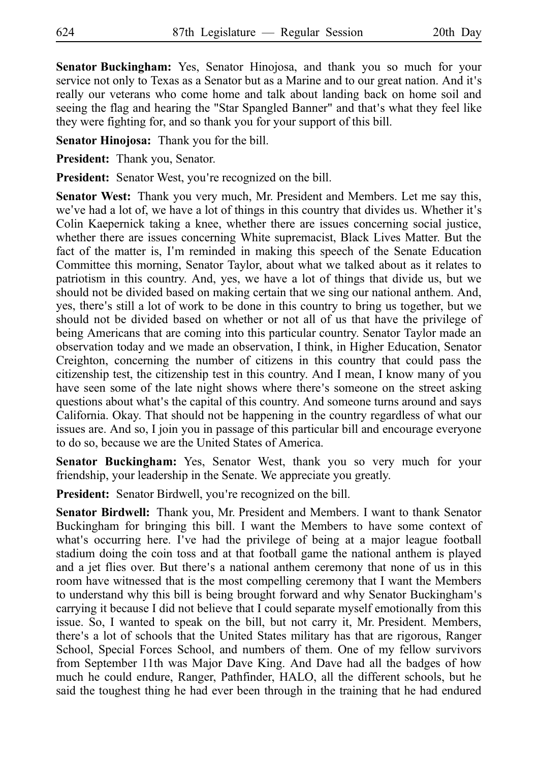**Senator Buckingham:** Yes, Senator Hinojosa, and thank you so much for your service not only to Texas as a Senator but as a Marine and to our great nation. And it's really our veterans who come home and talk about landing back on home soil and seeing the flag and hearing the "Star Spangled Banner" and that's what they feel like they were fighting for, and so thank you for your support of this bill.

**Senator Hinojosa:** Thank you for the bill.

**President:** Thank you, Senator.

**President:** Senator West, you're recognized on the bill.

**Senator West:** Thank you very much, Mr. President and Members. Let me say this, we've had a lot of, we have a lot of things in this country that divides us. Whether it's Colin Kaepernick taking a knee, whether there are issues concerning social justice, whether there are issues concerning White supremacist, Black Lives Matter. But the fact of the matter is, I'm reminded in making this speech of the Senate Education Committee this morning, Senator Taylor, about what we talked about as it relates to patriotism in this country. And, yes, we have a lot of things that divide us, but we should not be divided based on making certain that we sing our national anthem. And, yes, there's still a lot of work to be done in this country to bring us together, but we should not be divided based on whether or not all of us that have the privilege of being Americans that are coming into this particular country. Senator Taylor made an observation today and we made an observation, I think, in Higher Education, Senator Creighton, concerning the number of citizens in this country that could pass the citizenship test, the citizenship test in this country. And I mean, I know many of you have seen some of the late night shows where there's someone on the street asking questions about what's the capital of this country. And someone turns around and says California. Okay. That should not be happening in the country regardless of what our issues are. And so, I join you in passage of this particular bill and encourage everyone to do so, because we are the United States of America.

Senator Buckingham: Yes, Senator West, thank you so very much for your friendship, your leadership in the Senate. We appreciate you greatly.

**President:** Senator Birdwell, you're recognized on the bill.

**Senator Birdwell:** Thank you, Mr. President and Members. I want to thank Senator Buckingham for bringing this bill. I want the Members to have some context of what's occurring here. I've had the privilege of being at a major league football stadium doing the coin toss and at that football game the national anthem is played and a jet flies over. But there's a national anthem ceremony that none of us in this room have witnessed that is the most compelling ceremony that I want the Members to understand why this bill is being brought forward and why Senator Buckingham's carrying it because I did not believe that I could separate myself emotionally from this issue. So, I wanted to speak on the bill, but not carry it, Mr. President. Members, there's a lot of schools that the United States military has that are rigorous, Ranger School, Special Forces School, and numbers of them. One of my fellow survivors from September 11th was Major Dave King. And Dave had all the badges of how much he could endure, Ranger, Pathfinder, HALO, all the different schools, but he said the toughest thing he had ever been through in the training that he had endured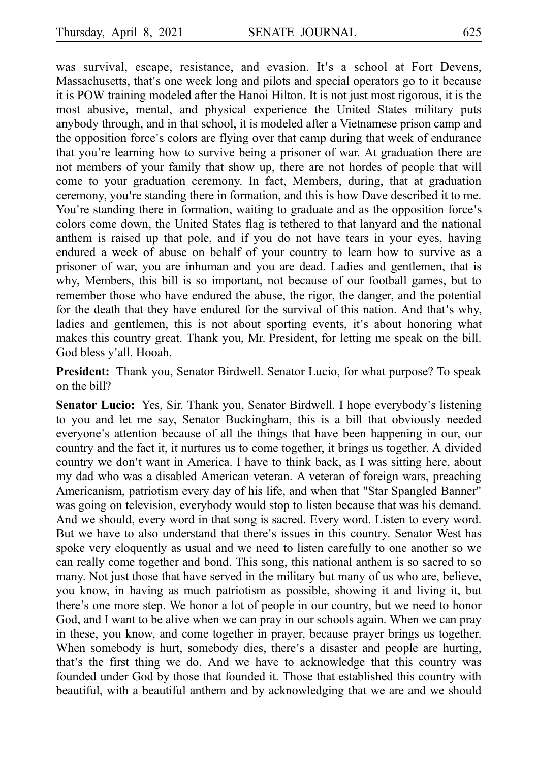was survival, escape, resistance, and evasion. It's a school at Fort Devens, Massachusetts, that's one week long and pilots and special operators go to it because it is POW training modeled after the Hanoi Hilton. It is not just most rigorous, it is the most abusive, mental, and physical experience the United States military puts anybody through, and in that school, it is modeled after a Vietnamese prison camp and the opposition force's colors are flying over that camp during that week of endurance that you're learning how to survive being a prisoner of war. At graduation there are not members of your family that show up, there are not hordes of people that will come to your graduation ceremony. In fact, Members, during, that at graduation ceremony, you're standing there in formation, and this is how Dave described it to me. You're standing there in formation, waiting to graduate and as the opposition force's colors come down, the United States flag is tethered to that lanyard and the national anthem is raised up that pole, and if you do not have tears in your eyes, having endured a week of abuse on behalf of your country to learn how to survive as a prisoner of war, you are inhuman and you are dead. Ladies and gentlemen, that is why, Members, this bill is so important, not because of our football games, but to remember those who have endured the abuse, the rigor, the danger, and the potential for the death that they have endured for the survival of this nation. And that's why, ladies and gentlemen, this is not about sporting events, it's about honoring what makes this country great. Thank you, Mr. President, for letting me speak on the bill. God bless y'all. Hooah.

President: Thank you, Senator Birdwell. Senator Lucio, for what purpose? To speak on the bill?

**Senator Lucio:** Yes, Sir. Thank you, Senator Birdwell. I hope everybody's listening to you and let me say, Senator Buckingham, this is a bill that obviously needed everyone's attention because of all the things that have been happening in our, our country and the fact it, it nurtures us to come together, it brings us together. A divided country we don't want in America. I have to think back, as I was sitting here, about my dad who was a disabled American veteran. A veteran of foreign wars, preaching Americanism, patriotism every day of his life, and when that "Star Spangled Banner" was going on television, everybody would stop to listen because that was his demand. And we should, every word in that song is sacred. Every word. Listen to every word. But we have to also understand that there's issues in this country. Senator West has spoke very eloquently as usual and we need to listen carefully to one another so we can really come together and bond. This song, this national anthem is so sacred to so many. Not just those that have served in the military but many of us who are, believe, you know, in having as much patriotism as possible, showing it and living it, but there's one more step. We honor a lot of people in our country, but we need to honor God, and I want to be alive when we can pray in our schools again. When we can pray in these, you know, and come together in prayer, because prayer brings us together. When somebody is hurt, somebody dies, there's a disaster and people are hurting, that's the first thing we do. And we have to acknowledge that this country was founded under God by those that founded it. Those that established this country with beautiful, with a beautiful anthem and by acknowledging that we are and we should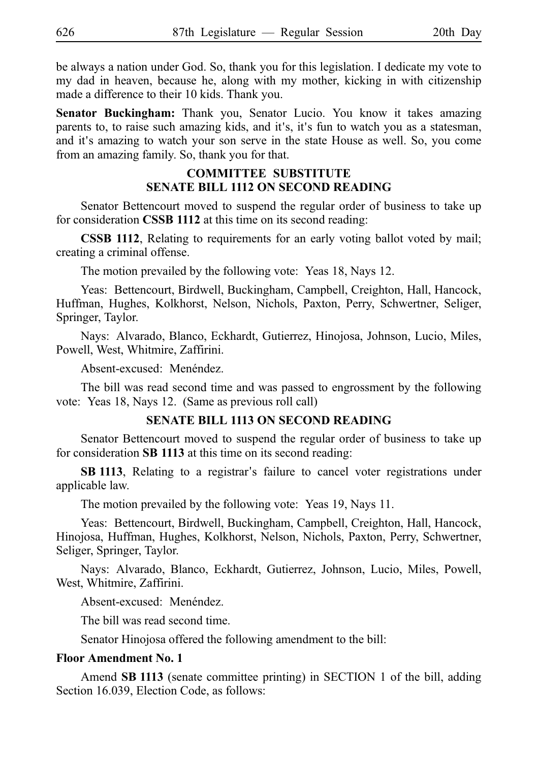be always a nation under God. So, thank you for this legislation. I dedicate my vote to my dad in heaven, because he, along with my mother, kicking in with citizenship made a difference to their 10 kids. Thank you.

Senator Buckingham: Thank you, Senator Lucio. You know it takes amazing parents to, to raise such amazing kids, and it's, it's fun to watch you as a statesman, and it's amazing to watch your son serve in the state House as well. So, you come from an amazing family. So, thank you for that.

# **COMMITTEE SUBSTITUTE SENATE BILL 1112 ON SECOND READING**

Senator Bettencourt moved to suspend the regular order of business to take up for consideration **CSSB 1112** at this time on its second reading:

**CSSB 1112**, Relating to requirements for an early voting ballot voted by mail; creating a criminal offense.

The motion prevailed by the following vote: Yeas 18, Nays 12.

Yeas: Bettencourt, Birdwell, Buckingham, Campbell, Creighton, Hall, Hancock, Huffman, Hughes, Kolkhorst, Nelson, Nichols, Paxton, Perry, Schwertner, Seliger, Springer, Taylor.

Nays: Alvarado, Blanco, Eckhardt, Gutierrez, Hinojosa, Johnson, Lucio, Miles, Powell, West, Whitmire, Zaffirini.

Absent-excused: Menéndez.

The bill was read second time and was passed to engrossment by the following vote: Yeas 18, Nays 12. (Same as previous roll call)

### **SENATE BILL 1113 ON SECOND READING**

Senator Bettencourt moved to suspend the regular order of business to take up for consideration **SB 1113** at this time on its second reading:

**SB 1113**, Relating to a registrar's failure to cancel voter registrations under applicable law.

The motion prevailed by the following vote: Yeas 19, Nays 11.

Yeas: Bettencourt, Birdwell, Buckingham, Campbell, Creighton, Hall, Hancock, Hinojosa, Huffman, Hughes, Kolkhorst, Nelson, Nichols, Paxton, Perry, Schwertner, Seliger, Springer, Taylor.

Nays: Alvarado, Blanco, Eckhardt, Gutierrez, Johnson, Lucio, Miles, Powell, West, Whitmire, Zaffirini.

Absent-excused: Menéndez.

The bill was read second time.

Senator Hinojosa offered the following amendment to the bill:

#### **Floor Amendment No. 1**

Amend **SB 1113** (senate committee printing) in SECTION 1 of the bill, adding Section 16.039, Election Code, as follows: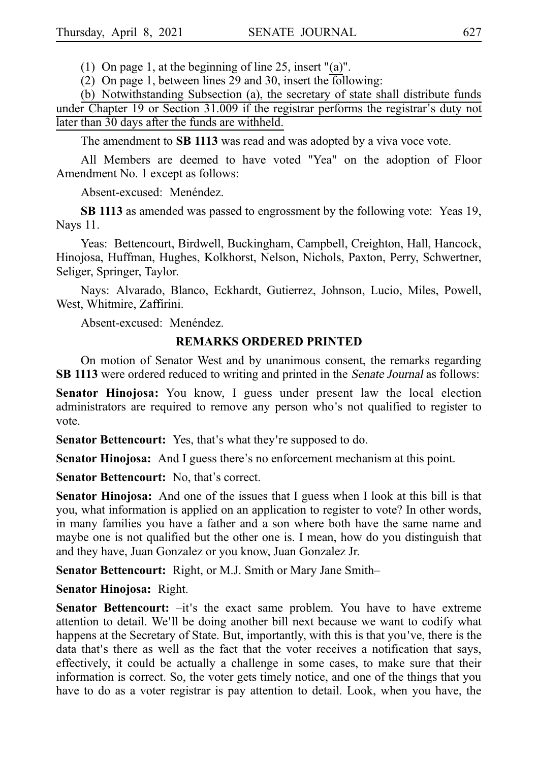(1) On page 1, at the beginning of line 25, insert "(a)".

(2) On page 1, between lines 29 and 30, insert the following:

(b) Notwithstanding Subsection (a), the secretary of state shall distribute funds under Chapter 19 or Section 31.009 if the registrar performs the registrar's duty not later than 30 days after the funds are withheld.

The amendment to **SB 1113** was read and was adopted by a viva voce vote.

All Members are deemed to have voted "Yea" on the adoption of Floor Amendment No. 1 except as follows:

Absent-excused: Menéndez.

**SB 1113** as amended was passed to engrossment by the following vote: Yeas 19, Nays 11.

Yeas: Bettencourt, Birdwell, Buckingham, Campbell, Creighton, Hall, Hancock, Hinojosa, Huffman, Hughes, Kolkhorst, Nelson, Nichols, Paxton, Perry, Schwertner, Seliger, Springer, Taylor.

Nays: Alvarado, Blanco, Eckhardt, Gutierrez, Johnson, Lucio, Miles, Powell, West, Whitmire, Zaffirini.

Absent-excused: Menéndez.

### **REMARKS ORDERED PRINTED**

On motion of Senator West and by unanimous consent, the remarks regarding **SB 1113** were ordered reduced to writing and printed in the *Senate Journal* as follows:

**Senator Hinojosa:** You know, I guess under present law the local election administrators are required to remove any person who's not qualified to register to vote.

**Senator Bettencourt:** Yes, that's what they're supposed to do.

**Senator Hinojosa:** And I guess there's no enforcement mechanism at this point.

**Senator Bettencourt:** No, that's correct.

**Senator Hinojosa:** And one of the issues that I guess when I look at this bill is that you, what information is applied on an application to register to vote? In other words, in many families you have a father and a son where both have the same name and maybe one is not qualified but the other one is. I mean, how do you distinguish that and they have, Juan Gonzalez or you know, Juan Gonzalez Jr.

Senator Bettencourt: Right, or M.J. Smith or Mary Jane Smith–

**Senator Hinojosa: Right.** 

**Senator Bettencourt:**  $-it's$  the exact same problem. You have to have extreme attention to detail. We'll be doing another bill next because we want to codify what happens at the Secretary of State. But, importantly, with this is that you've, there is the data that's there as well as the fact that the voter receives a notification that says, effectively, it could be actually a challenge in some cases, to make sure that their information is correct. So, the voter gets timely notice, and one of the things that you have to do as a voter registrar is pay attention to detail. Look, when you have, the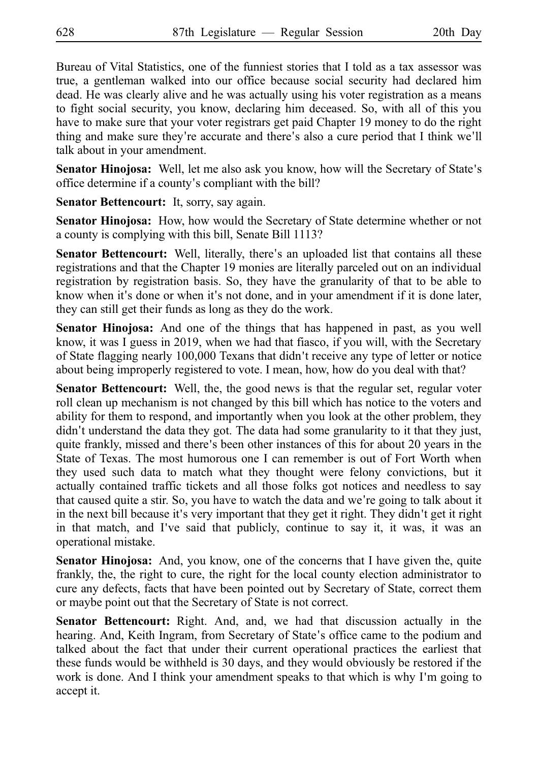Bureau of Vital Statistics, one of the funniest stories that I told as a tax assessor was true, a gentleman walked into our office because social security had declared him dead. He was clearly alive and he was actually using his voter registration as a means to fight social security, you know, declaring him deceased. So, with all of this you have to make sure that your voter registrars get paid Chapter 19 money to do the right thing and make sure they're accurate and there's also a cure period that I think we'll talk about in your amendment.

**Senator Hinojosa:** Well, let me also ask you know, how will the Secretary of State's office determine if a county's compliant with the bill?

**Senator Bettencourt:** It, sorry, say again.

**Senator Hinojosa:** How, how would the Secretary of State determine whether or not a county is complying with this bill, Senate Bill 1113?

**Senator Bettencourt:** Well, literally, there's an uploaded list that contains all these registrations and that the Chapter 19 monies are literally parceled out on an individual registration by registration basis. So, they have the granularity of that to be able to know when it's done or when it's not done, and in your amendment if it is done later, they can still get their funds as long as they do the work.

**Senator Hinojosa:** And one of the things that has happened in past, as you well know, it was I guess in 2019, when we had that fiasco, if you will, with the Secretary of State flagging nearly 100,000 Texans that didn't receive any type of letter or notice about being improperly registered to vote. I mean, how, how do you deal with that?

**Senator Bettencourt:** Well, the, the good news is that the regular set, regular voter roll clean up mechanism is not changed by this bill which has notice to the voters and ability for them to respond, and importantly when you look at the other problem, they didn't understand the data they got. The data had some granularity to it that they just, quite frankly, missed and there's been other instances of this for about 20 years in the State of Texas. The most humorous one I can remember is out of Fort Worth when they used such data to match what they thought were felony convictions, but it actually contained traffic tickets and all those folks got notices and needless to say that caused quite a stir. So, you have to watch the data and we re going to talk about it ' in the next bill because it's very important that they get it right. They didn't get it right in that match, and I've said that publicly, continue to say it, it was, it was an operational mistake.

**Senator Hinojosa:** And, you know, one of the concerns that I have given the, quite frankly, the, the right to cure, the right for the local county election administrator to cure any defects, facts that have been pointed out by Secretary of State, correct them or maybe point out that the Secretary of State is not correct.

**Senator Bettencourt:** Right. And, and, we had that discussion actually in the hearing. And, Keith Ingram, from Secretary of State's office came to the podium and talked about the fact that under their current operational practices the earliest that these funds would be withheld is 30 days, and they would obviously be restored if the work is done. And I think your amendment speaks to that which is why I'm going to accept it.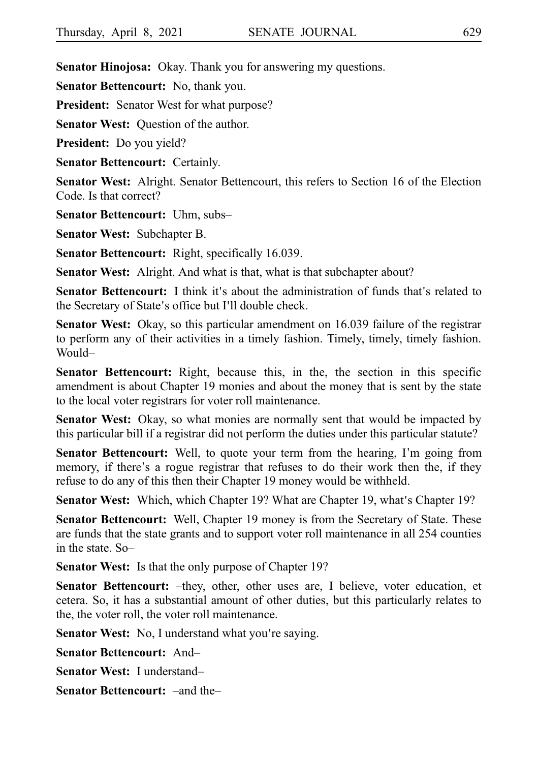**Senator Hinojosa:** Okay. Thank you for answering my questions.

**Senator Bettencourt:** No, thank you.

**President:** Senator West for what purpose?

**Senator West:** Ouestion of the author.

**President:** Do you yield?

**Senator Bettencourt:** Certainly.

**Senator West:** Alright. Senator Bettencourt, this refers to Section 16 of the Election Code. Is that correct?

**Senator Bettencourt:** Uhm, subs–

**Senator West: Subchapter B.** 

**Senator Bettencourt:** Right, specifically 16.039.

**Senator West:** Alright. And what is that, what is that subchapter about?

**Senator Bettencourt:** I think it's about the administration of funds that's related to the Secretary of State's office but I'll double check.

**Senator West:** Okay, so this particular amendment on 16.039 failure of the registrar to perform any of their activities in a timely fashion. Timely, timely, timely fashion. Would–

**Senator Bettencourt:** Right, because this, in the, the section in this specific amendment is about Chapter 19 monies and about the money that is sent by the state to the local voter registrars for voter roll maintenance.

**Senator West:** Okay, so what monies are normally sent that would be impacted by this particular bill if a registrar did not perform the duties under this particular statute?

**Senator Bettencourt:** Well, to quote your term from the hearing, I'm going from memory, if there's a rogue registrar that refuses to do their work then the, if they refuse to do any of this then their Chapter 19 money would be withheld.

**Senator West:** Which, which Chapter 19? What are Chapter 19, what *s* Chapter 19?

**Senator Bettencourt:** Well, Chapter 19 money is from the Secretary of State. These are funds that the state grants and to support voter roll maintenance in all 254 counties in the state. So–

**Senator West:** Is that the only purpose of Chapter 19?

**Senator Bettencourt:** –they, other, other uses are, I believe, voter education, et cetera. So, it has a substantial amount of other duties, but this particularly relates to the, the voter roll, the voter roll maintenance.

**Senator West:** No, I understand what you're saying.

**Senator Bettencourt: And–** 

**Senator West: I understand–** 

**Senator Bettencourt:** –and the–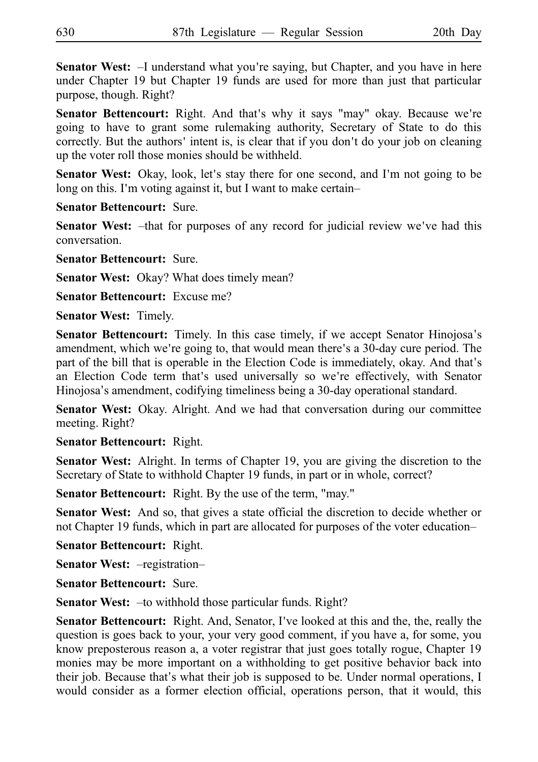**Senator West:**  $-$ I understand what you're saying, but Chapter, and you have in here under Chapter 19 but Chapter 19 funds are used for more than just that particular purpose, though. Right?

Senator Bettencourt: Right. And that's why it says "may" okay. Because we're going to have to grant some rulemaking authority, Secretary of State to do this correctly. But the authors' intent is, is clear that if you don't do your job on cleaning up the voter roll those monies should be withheld.

**Senator West:** Okay, look, let's stay there for one second, and I'm not going to be long on this. I'm voting against it, but I want to make certain-

**Senator Bettencourt: Sure.** 

**Senator West:** -that for purposes of any record for judicial review we've had this conversation.

**Senator Bettencourt: Sure.** 

**Senator West:** Okay? What does timely mean?

**Senator Bettencourt:** Excuse me?

**Senator West: Timely.** 

**Senator Bettencourt:** Timely. In this case timely, if we accept Senator Hinojosa's amendment, which we're going to, that would mean there's a 30-day cure period. The part of the bill that is operable in the Election Code is immediately, okay. And that's an Election Code term that's used universally so we're effectively, with Senator Hinojosa's amendment, codifying timeliness being a 30-day operational standard.

**Senator West:** Okay. Alright. And we had that conversation during our committee meeting. Right?

**Senator Bettencourt: Right.** 

**Senator West:** Alright. In terms of Chapter 19, you are giving the discretion to the Secretary of State to withhold Chapter 19 funds, in part or in whole, correct?

**Senator Bettencourt:** Right. By the use of the term, "may."

**Senator West:** And so, that gives a state official the discretion to decide whether or not Chapter 19 funds, which in part are allocated for purposes of the voter education–

**Senator Bettencourt: Right.** 

**Senator West:** –registration–

**Senator Bettencourt: Sure.** 

**Senator West:**  $-i\sigma$  withhold those particular funds. Right?

**Senator Bettencourt:** Right. And, Senator, I've looked at this and the, the, really the question is goes back to your, your very good comment, if you have a, for some, you know preposterous reason a, a voter registrar that just goes totally rogue, Chapter 19 monies may be more important on a withholding to get positive behavior back into their job. Because that's what their job is supposed to be. Under normal operations, I would consider as a former election official, operations person, that it would, this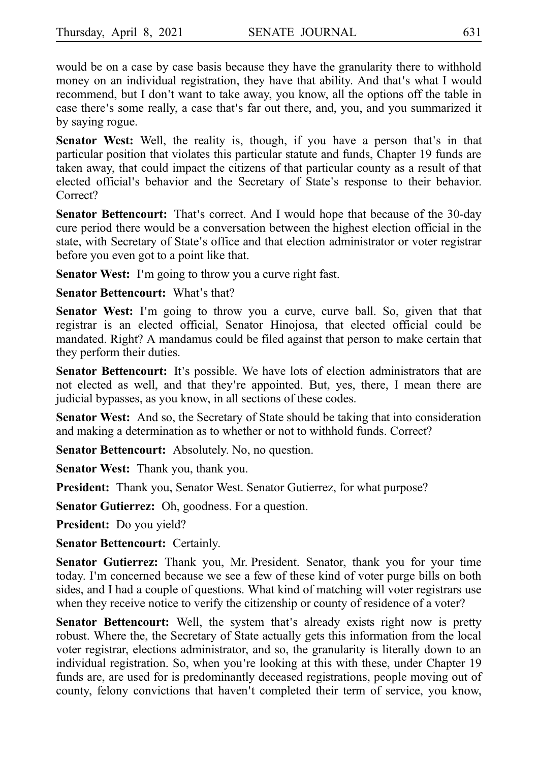would be on a case by case basis because they have the granularity there to withhold money on an individual registration, they have that ability. And that's what I would recommend, but I don't want to take away, you know, all the options off the table in case there's some really, a case that's far out there, and, you, and you summarized it by saying rogue.

Senator West: Well, the reality is, though, if you have a person that's in that particular position that violates this particular statute and funds, Chapter 19 funds are taken away, that could impact the citizens of that particular county as a result of that elected official's behavior and the Secretary of State's response to their behavior. Correct?

**Senator Bettencourt:** That's correct. And I would hope that because of the 30-day cure period there would be a conversation between the highest election official in the state, with Secretary of State's office and that election administrator or voter registrar before you even got to a point like that.

**Senator West:** I'm going to throw you a curve right fast.

**Senator Bettencourt:** What's that?

**Senator West:** I'm going to throw you a curve, curve ball. So, given that that registrar is an elected official, Senator Hinojosa, that elected official could be mandated. Right? A mandamus could be filed against that person to make certain that they perform their duties.

**Senator Bettencourt:** It's possible. We have lots of election administrators that are not elected as well, and that they're appointed. But, yes, there, I mean there are judicial bypasses, as you know, in all sections of these codes.

**Senator West:** And so, the Secretary of State should be taking that into consideration and making a determination as to whether or not to withhold funds. Correct?

**Senator Bettencourt:** Absolutely. No, no question.

**Senator West:** Thank you, thank you.

**President:** Thank you, Senator West. Senator Gutierrez, for what purpose?

**Senator Gutierrez:** Oh, goodness. For a question.

**President:** Do you yield?

**Senator Bettencourt:** Certainly.

**Senator Gutierrez:** Thank you, Mr. President. Senator, thank you for your time today. I'm concerned because we see a few of these kind of voter purge bills on both sides, and I had a couple of questions. What kind of matching will voter registrars use when they receive notice to verify the citizenship or county of residence of a voter?

**Senator Bettencourt:** Well, the system that's already exists right now is pretty robust. Where the, the Secretary of State actually gets this information from the local voter registrar, elections administrator, and so, the granularity is literally down to an individual registration. So, when you're looking at this with these, under Chapter 19 funds are, are used for is predominantly deceased registrations, people moving out of county, felony convictions that haven't completed their term of service, you know,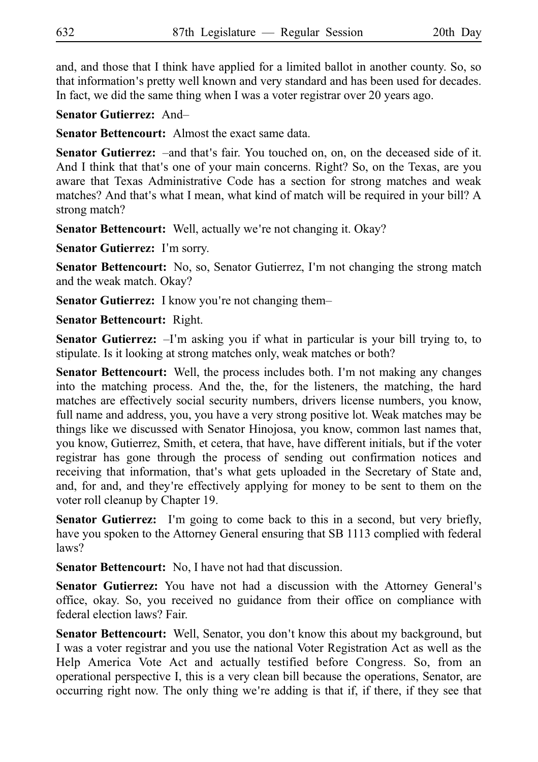and, and those that I think have applied for a limited ballot in another county. So, so that information's pretty well known and very standard and has been used for decades. In fact, we did the same thing when I was a voter registrar over 20 years ago.

**Senator Gutierrez: And–** 

**Senator Bettencourt:** Almost the exact same data.

**Senator Gutierrez:** –and that's fair. You touched on, on, on the deceased side of it. And I think that that s one of your main concerns. Right? So, on the Texas, are you aware that Texas Administrative Code has a section for strong matches and weak matches? And that 's what I mean, what kind of match will be required in your bill? A strong match?

**Senator Bettencourt:** Well, actually we're not changing it. Okay?

**Senator Gutierrez:** I'm sorry.

**Senator Bettencourt:** No, so, Senator Gutierrez, I'm not changing the strong match and the weak match. Okay?

**Senator Gutierrez:** I know you're not changing them–

**Senator Bettencourt: Right.** 

**Senator Gutierrez:** -I'm asking you if what in particular is your bill trying to, to stipulate. Is it looking at strong matches only, weak matches or both?

**Senator Bettencourt:** Well, the process includes both. I'm not making any changes into the matching process. And the, the, for the listeners, the matching, the hard matches are effectively social security numbers, drivers license numbers, you know, full name and address, you, you have a very strong positive lot. Weak matches may be things like we discussed with Senator Hinojosa, you know, common last names that, you know, Gutierrez, Smith, et cetera, that have, have different initials, but if the voter registrar has gone through the process of sending out confirmation notices and receiving that information, that's what gets uploaded in the Secretary of State and, and, for and, and they're effectively applying for money to be sent to them on the voter roll cleanup by Chapter 19.

Senator Gutierrez: I'm going to come back to this in a second, but very briefly, have you spoken to the Attorney General ensuring that SB 1113 complied with federal laws?

**Senator Bettencourt:** No, I have not had that discussion.

**Senator Gutierrez:** You have not had a discussion with the Attorney General's office, okay. So, you received no guidance from their office on compliance with federal election laws? Fair.

Senator Bettencourt: Well, Senator, you don't know this about my background, but I was a voter registrar and you use the national Voter Registration Act as well as the Help America Vote Act and actually testified before Congress. So, from an operational perspective I, this is a very clean bill because the operations, Senator, are occurring right now. The only thing we re adding is that if, if there, if they see that '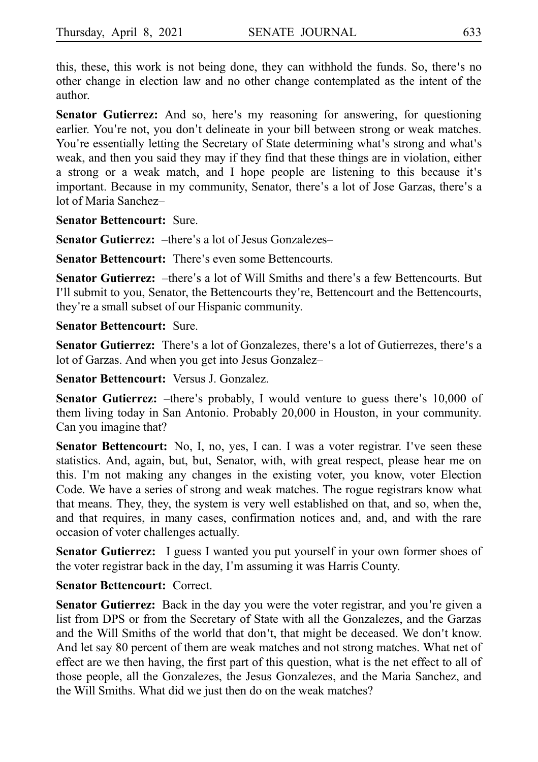this, these, this work is not being done, they can withhold the funds. So, there's no other change in election law and no other change contemplated as the intent of the author.

**Senator Gutierrez:** And so, here's my reasoning for answering, for questioning earlier. You're not, you don't delineate in your bill between strong or weak matches. You're essentially letting the Secretary of State determining what's strong and what's weak, and then you said they may if they find that these things are in violation, either a strong or a weak match, and I hope people are listening to this because it's important. Because in my community, Senator, there's a lot of Jose Garzas, there's a lot of Maria Sanchez–

**Senator Bettencourt: Sure.** 

**Senator Gutierrez:** -there's a lot of Jesus Gonzalezes–

**Senator Bettencourt:** There's even some Bettencourts.

Senator Gutierrez: -there's a lot of Will Smiths and there's a few Bettencourts. But I'll submit to you, Senator, the Bettencourts they're, Bettencourt and the Bettencourts, they're a small subset of our Hispanic community.

#### **Senator Bettencourt: Sure.**

**Senator Gutierrez:** There's a lot of Gonzalezes, there's a lot of Gutierrezes, there's a lot of Garzas. And when you get into Jesus Gonzalez–

**Senator Bettencourt:** Versus J. Gonzalez.

**Senator Gutierrez:** -there's probably, I would venture to guess there's 10,000 of them living today in San Antonio. Probably 20,000 in Houston, in your community. Can you imagine that?

**Senator Bettencourt:** No, I, no, yes, I can. I was a voter registrar. I've seen these statistics. And, again, but, but, Senator, with, with great respect, please hear me on this. I'm not making any changes in the existing voter, you know, voter Election Code. We have a series of strong and weak matches. The rogue registrars know what that means. They, they, the system is very well established on that, and so, when the, and that requires, in many cases, confirmation notices and, and, and with the rare occasion of voter challenges actually.

**Senator Gutierrez:** I guess I wanted you put yourself in your own former shoes of the voter registrar back in the day, I m assuming it was Harris County. '

### **Senator Bettencourt: Correct.**

**Senator Gutierrez:** Back in the day you were the voter registrar, and you're given a list from DPS or from the Secretary of State with all the Gonzalezes, and the Garzas and the Will Smiths of the world that don't, that might be deceased. We don't know. And let say 80 percent of them are weak matches and not strong matches. What net of effect are we then having, the first part of this question, what is the net effect to all of those people, all the Gonzalezes, the Jesus Gonzalezes, and the Maria Sanchez, and the Will Smiths. What did we just then do on the weak matches?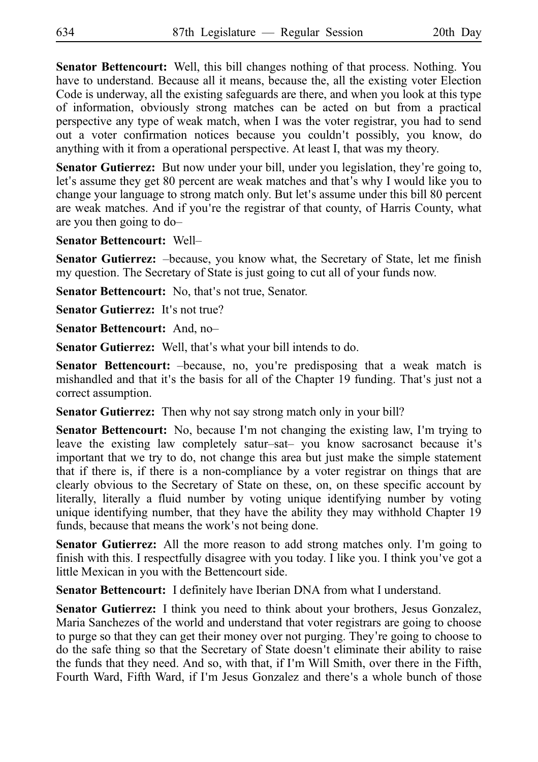**Senator Bettencourt:** Well, this bill changes nothing of that process. Nothing. You have to understand. Because all it means, because the, all the existing voter Election Code is underway, all the existing safeguards are there, and when you look at this type of information, obviously strong matches can be acted on but from a practical perspective any type of weak match, when I was the voter registrar, you had to send out a voter confirmation notices because you couldn t possibly, you know, do ' anything with it from a operational perspective. At least I, that was my theory.

Senator Gutierrez: But now under your bill, under you legislation, they're going to, let's assume they get 80 percent are weak matches and that's why I would like you to change your language to strong match only. But let's assume under this bill 80 percent are weak matches. And if you're the registrar of that county, of Harris County, what are you then going to do–

#### **Senator Bettencourt: Well–**

**Senator Gutierrez:** -because, you know what, the Secretary of State, let me finish my question. The Secretary of State is just going to cut all of your funds now.

**Senator Bettencourt:** No, that's not true, Senator.

**Senator Gutierrez:** It's not true?

**Senator Bettencourt:** And, no–

**Senator Gutierrez:** Well, that's what your bill intends to do.

Senator Bettencourt: -because, no, you're predisposing that a weak match is mishandled and that it's the basis for all of the Chapter 19 funding. That's just not a correct assumption.

**Senator Gutierrez:** Then why not say strong match only in your bill?

**Senator Bettencourt:** No, because I'm not changing the existing law, I'm trying to leave the existing law completely satur-sat- you know sacrosanct because it's important that we try to do, not change this area but just make the simple statement that if there is, if there is a non-compliance by a voter registrar on things that are clearly obvious to the Secretary of State on these, on, on these specific account by literally, literally a fluid number by voting unique identifying number by voting unique identifying number, that they have the ability they may withhold Chapter 19 funds, because that means the work's not being done.

**Senator Gutierrez:** All the more reason to add strong matches only. I'm going to finish with this. I respectfully disagree with you today. I like you. I think you ve got a ' little Mexican in you with the Bettencourt side.

**Senator Bettencourt:** I definitely have Iberian DNA from what I understand.

**Senator Gutierrez:** I think you need to think about your brothers, Jesus Gonzalez, Maria Sanchezes of the world and understand that voter registrars are going to choose to purge so that they can get their money over not purging. They're going to choose to do the safe thing so that the Secretary of State doesn't eliminate their ability to raise the funds that they need. And so, with that, if I m Will Smith, over there in the Fifth, ' Fourth Ward, Fifth Ward, if I'm Jesus Gonzalez and there's a whole bunch of those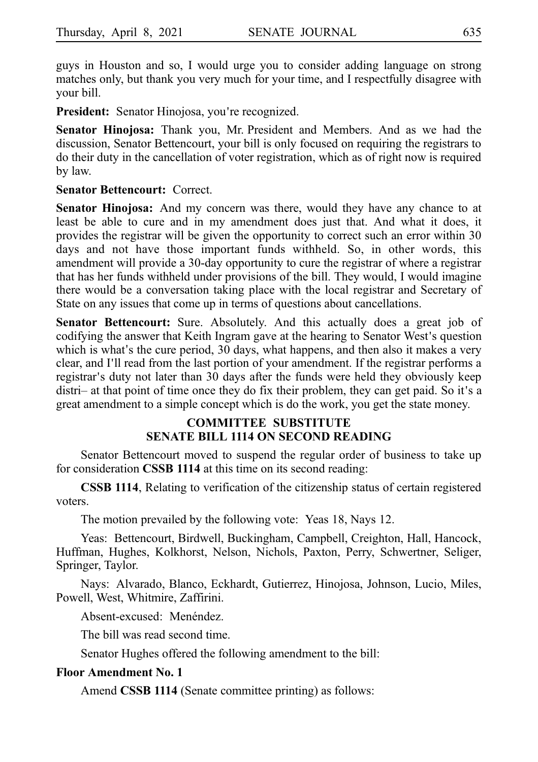guys in Houston and so, I would urge you to consider adding language on strong matches only, but thank you very much for your time, and I respectfully disagree with your bill.

**President:** Senator Hinojosa, you're recognized.

**Senator Hinojosa:** Thank you, Mr. President and Members. And as we had the discussion, Senator Bettencourt, your bill is only focused on requiring the registrars to do their duty in the cancellation of voter registration, which as of right now is required by law.

#### **Senator Bettencourt: Correct.**

Senator Hinojosa: And my concern was there, would they have any chance to at least be able to cure and in my amendment does just that. And what it does, it provides the registrar will be given the opportunity to correct such an error within 30 days and not have those important funds withheld. So, in other words, this amendment will provide a 30-day opportunity to cure the registrar of where a registrar that has her funds withheld under provisions of the bill. They would, I would imagine there would be a conversation taking place with the local registrar and Secretary of State on any issues that come up in terms of questions about cancellations.

**Senator Bettencourt:** Sure. Absolutely. And this actually does a great job of codifying the answer that Keith Ingram gave at the hearing to Senator West's question which is what's the cure period, 30 days, what happens, and then also it makes a very clear, and I'll read from the last portion of your amendment. If the registrar performs a registrar's duty not later than 30 days after the funds were held they obviously keep distri- at that point of time once they do fix their problem, they can get paid. So it's a great amendment to a simple concept which is do the work, you get the state money.

### **COMMITTEE SUBSTITUTE SENATE BILL 1114 ON SECOND READING**

Senator Bettencourt moved to suspend the regular order of business to take up for consideration **CSSB 1114** at this time on its second reading:

**CSSB 1114**, Relating to verification of the citizenship status of certain registered voters.

The motion prevailed by the following vote: Yeas 18, Nays 12.

Yeas: Bettencourt, Birdwell, Buckingham, Campbell, Creighton, Hall, Hancock, Huffman, Hughes, Kolkhorst, Nelson, Nichols, Paxton, Perry, Schwertner, Seliger, Springer, Taylor.

Nays: Alvarado, Blanco, Eckhardt, Gutierrez, Hinojosa, Johnson, Lucio, Miles, Powell, West, Whitmire, Zaffirini.

Absent-excused: Menéndez.

The bill was read second time.

Senator Hughes offered the following amendment to the bill:

#### **Floor Amendment No. 1**

Amend **CSSB 1114** (Senate committee printing) as follows: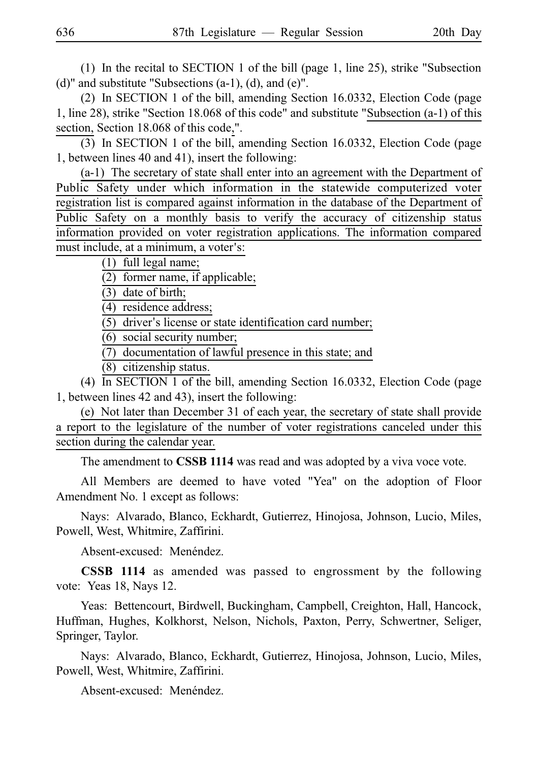(1) In the recital to SECTION 1 of the bill (page 1, line 25), strike "Subsection  $(d)$ " and substitute "Subsections  $(a-1)$ ,  $(d)$ , and  $(e)$ ".

(2) In SECTION 1 of the bill, amending Section 16.0332, Election Code (page 1, line 28), strike "Section 18.068 of this code" and substitute "Subsection (a-1) of this section, Section 18.068 of this code,".

(3) In SECTION 1 of the bill, amending Section 16.0332, Election Code (page 1, between lines 40 and 41), insert the following:

 $(a-1)$  The secretary of state shall enter into an agreement with the Department of Public Safety under which information in the statewide computerized voter registration list is compared against information in the database of the Department of Public Safety on a monthly basis to verify the accuracy of citizenship status information provided on voter registration applications. The information compared must include, at a minimum, a voter's:

 $(1)$  full legal name;

 $(2)$  former name, if applicable;

 $(3)$  date of birth;

(4) residence address;

 $(5)$  driver's license or state identification card number;

 $(6)$  social security number;

 $(7)$  documentation of lawful presence in this state; and

(8) citizenship status.

(4) In SECTION 1 of the bill, amending Section 16.0332, Election Code (page 1, between lines 42 and 43), insert the following:

(e) Not later than December 31 of each year, the secretary of state shall provide a report to the legislature of the number of voter registrations canceled under this section during the calendar year.

The amendment to **CSSB 1114** was read and was adopted by a viva voce vote.

All Members are deemed to have voted "Yea" on the adoption of Floor Amendment No. 1 except as follows:

Nays: Alvarado, Blanco, Eckhardt, Gutierrez, Hinojosa, Johnson, Lucio, Miles, Powell, West, Whitmire, Zaffirini.

Absent-excused: Menéndez.

**CSSB 1114** as amended was passed to engrossment by the following vote: Yeas 18, Nays 12.

Yeas: Bettencourt, Birdwell, Buckingham, Campbell, Creighton, Hall, Hancock, Huffman, Hughes, Kolkhorst, Nelson, Nichols, Paxton, Perry, Schwertner, Seliger, Springer, Taylor.

Nays: Alvarado, Blanco, Eckhardt, Gutierrez, Hinojosa, Johnson, Lucio, Miles, Powell, West, Whitmire, Zaffirini.

Absent-excused: Menéndez.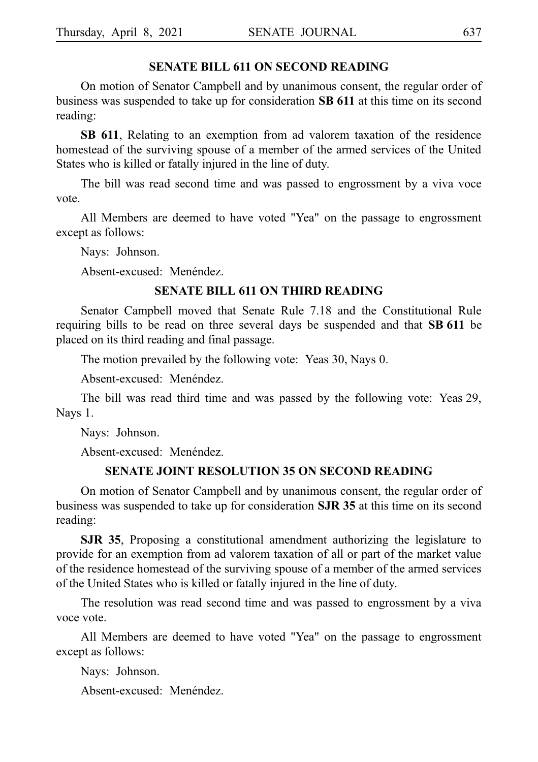#### **SENATE BILL 611 ON SECOND READING**

On motion of Senator Campbell and by unanimous consent, the regular order of business was suspended to take up for consideration **SB 611** at this time on its second reading:

**SB 611**, Relating to an exemption from ad valorem taxation of the residence homestead of the surviving spouse of a member of the armed services of the United States who is killed or fatally injured in the line of duty.

The bill was read second time and was passed to engrossment by a viva voce vote.

All Members are deemed to have voted "Yea" on the passage to engrossment except as follows:

Nays: Johnson.

Absent-excused: Menéndez.

#### **SENATE BILL 611 ON THIRD READING**

Senator Campbell moved that Senate Rule 7.18 and the Constitutional Rule requiring bills to be read on three several days be suspended and that SB 611 be placed on its third reading and final passage.

The motion prevailed by the following vote: Yeas 30, Nays 0.

Absent-excused: Menéndez.

The bill was read third time and was passed by the following vote: Yeas 29, Nays 1.

Nays: Johnson.

Absent-excused: Menéndez.

#### **SENATE JOINT RESOLUTION 35 ON SECOND READING**

On motion of Senator Campbell and by unanimous consent, the regular order of business was suspended to take up for consideration **SJR 35** at this time on its second reading:

**SJR 35**, Proposing a constitutional amendment authorizing the legislature to provide for an exemption from ad valorem taxation of all or part of the market value of the residence homestead of the surviving spouse of a member of the armed services of the United States who is killed or fatally injured in the line of duty.

The resolution was read second time and was passed to engrossment by a viva voce vote.

All Members are deemed to have voted "Yea" on the passage to engrossment except as follows:

Nays: Johnson.

Absent-excused: Menéndez.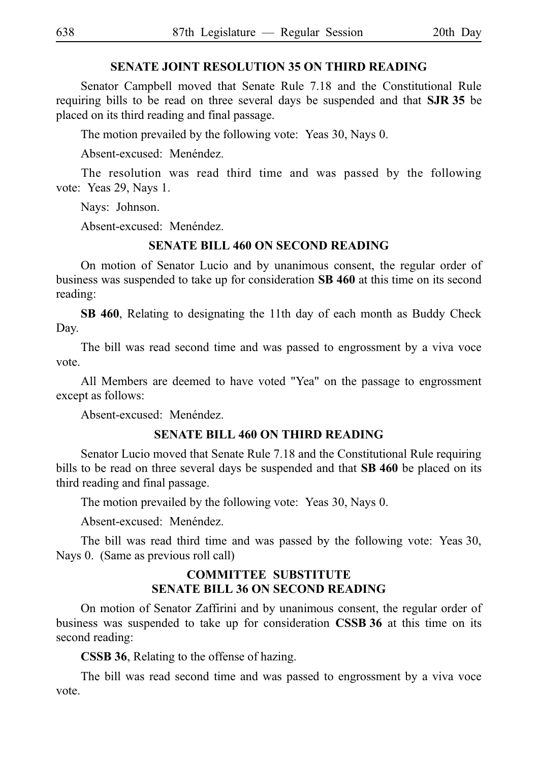#### **SENATE JOINT RESOLUTION 35 ON THIRD READING**

Senator Campbell moved that Senate Rule 7.18 and the Constitutional Rule requiring bills to be read on three several days be suspended and that SJR 35 be placed on its third reading and final passage.

The motion prevailed by the following vote: Yeas 30, Nays 0.

Absent-excused: Menéndez.

The resolution was read third time and was passed by the following vote: Yeas 29, Nays 1.

Nays: Johnson.

Absent-excused: Menéndez.

#### **SENATE BILL 460 ON SECOND READING**

On motion of Senator Lucio and by unanimous consent, the regular order of business was suspended to take up for consideration **SB 460** at this time on its second reading:

**SB 460**, Relating to designating the 11th day of each month as Buddy Check Day.

The bill was read second time and was passed to engrossment by a viva voce vote.

All Members are deemed to have voted "Yea" on the passage to engrossment except as follows:

Absent-excused: Menéndez.

#### **SENATE BILL 460 ON THIRD READING**

Senator Lucio moved that Senate Rule 7.18 and the Constitutional Rule requiring bills to be read on three several days be suspended and that **SB 460** be placed on its third reading and final passage.

The motion prevailed by the following vote: Yeas 30, Nays 0.

Absent-excused: Menéndez.

The bill was read third time and was passed by the following vote: Yeas 30, Nays 0. (Same as previous roll call)

#### **COMMITTEE SUBSTITUTE SENATE BILL 36 ON SECOND READING**

On motion of Senator Zaffirini and by unanimous consent, the regular order of business was suspended to take up for consideration **CSSBi36** at this time on its second reading:

**CSSB 36**, Relating to the offense of hazing.

The bill was read second time and was passed to engrossment by a viva voce vote.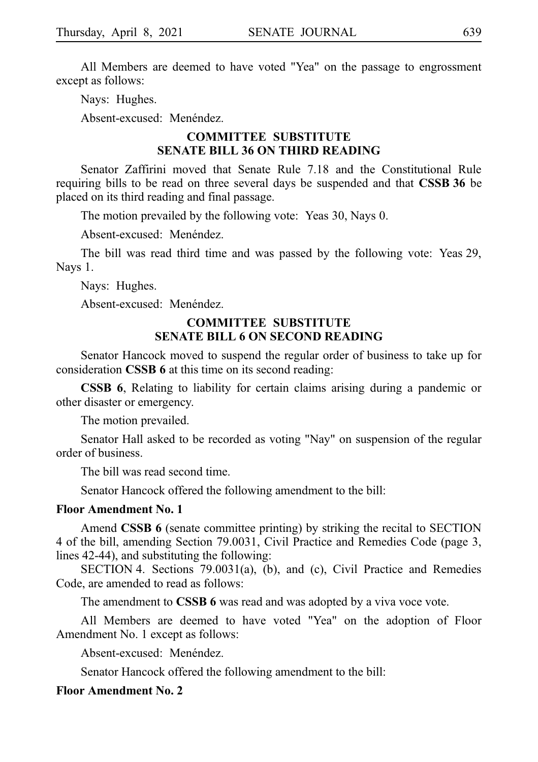All Members are deemed to have voted "Yea" on the passage to engrossment except as follows:

Nays: Hughes.

Absent-excused: Menéndez.

# **COMMITTEE SUBSTITUTE SENATE BILL 36 ON THIRD READING**

Senator Zaffirini moved that Senate Rule 7.18 and the Constitutional Rule requiring bills to be read on three several days be suspended and that **CSSBi36** be placed on its third reading and final passage.

The motion prevailed by the following vote: Yeas 30, Nays 0.

Absent-excused: Menéndez.

The bill was read third time and was passed by the following vote: Yeas 29, Nays 1.

Nays: Hughes.

Absent-excused: Menéndez.

### **COMMITTEE SUBSTITUTE SENATE BILL 6 ON SECOND READING**

Senator Hancock moved to suspend the regular order of business to take up for consideration **CSSB 6** at this time on its second reading:

**CSSB 6**, Relating to liability for certain claims arising during a pandemic or other disaster or emergency.

The motion prevailed.

Senator Hall asked to be recorded as voting "Nay" on suspension of the regular order of business.

The bill was read second time.

Senator Hancock offered the following amendment to the bill:

#### **Floor Amendment No. 1**

Amend **CSSB 6** (senate committee printing) by striking the recital to SECTION 4 of the bill, amending Section 79.0031, Civil Practice and Remedies Code (page 3, lines 42-44), and substituting the following:

SECTION 4. Sections 79.0031(a), (b), and (c), Civil Practice and Remedies Code, are amended to read as follows:

The amendment to **CSSB 6** was read and was adopted by a viva voce vote.

All Members are deemed to have voted "Yea" on the adoption of Floor Amendment No. 1 except as follows:

Absent-excused: Menéndez.

Senator Hancock offered the following amendment to the bill:

#### **Floor Amendment No. 2**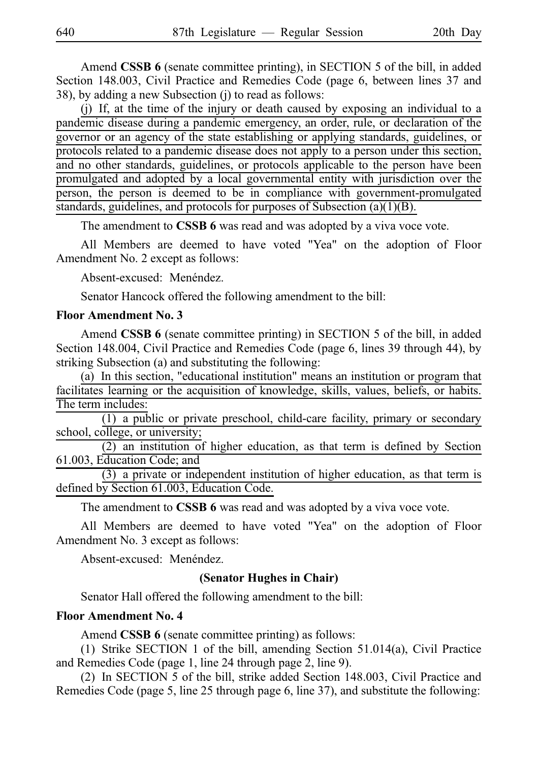Amend **CSSB 6** (senate committee printing), in SECTION 5 of the bill, in added Section 148.003, Civil Practice and Remedies Code (page 6, between lines 37 and 38), by adding a new Subsection (j) to read as follows:

(j) If, at the time of the injury or death caused by exposing an individual to a pandemic disease during a pandemic emergency, an order, rule, or declaration of the governor or an agency of the state establishing or applying standards, guidelines, or protocols related to a pandemic disease does not apply to a person under this section, and no other standards, guidelines, or protocols applicable to the person have been promulgated and adopted by a local governmental entity with jurisdiction over the person, the person is deemed to be in compliance with government-promulgated standards, guidelines, and protocols for purposes of Subsection (a)(1)(B).

The amendment to **CSSB 6** was read and was adopted by a viva voce vote.

All Members are deemed to have voted "Yea" on the adoption of Floor Amendment No. 2 except as follows:

Absent-excused: Menéndez.

Senator Hancock offered the following amendment to the bill:

#### **Floor Amendment No. 3**

Amend **CSSB 6** (senate committee printing) in SECTION 5 of the bill, in added Section 148.004, Civil Practice and Remedies Code (page 6, lines 39 through 44), by striking Subsection (a) and substituting the following:

(a) In this section, "educational institution" means an institution or program that facilitates learning or the acquisition of knowledge, skills, values, beliefs, or habits. The term includes:

 $\overline{(1)}$  a public or private preschool, child-care facility, primary or secondary school, college, or university;

 $(2)$  an institution of higher education, as that term is defined by Section 61.003, Education Code; and

 $(3)$  a private or independent institution of higher education, as that term is defined by Section 61.003, Education Code.

The amendment to **CSSB 6** was read and was adopted by a viva voce vote.

All Members are deemed to have voted "Yea" on the adoption of Floor Amendment No. 3 except as follows:

Absent-excused: Menéndez.

### **(Senator Hughes in Chair)**

Senator Hall offered the following amendment to the bill:

#### **Floor Amendment No. 4**

Amend **CSSB 6** (senate committee printing) as follows:

(1) Strike SECTION 1 of the bill, amending Section 51.014(a), Civil Practice and Remedies Code (page 1, line 24 through page 2, line 9).

(2) In SECTION 5 of the bill, strike added Section 148.003, Civil Practice and Remedies Code (page 5, line 25 through page 6, line 37), and substitute the following: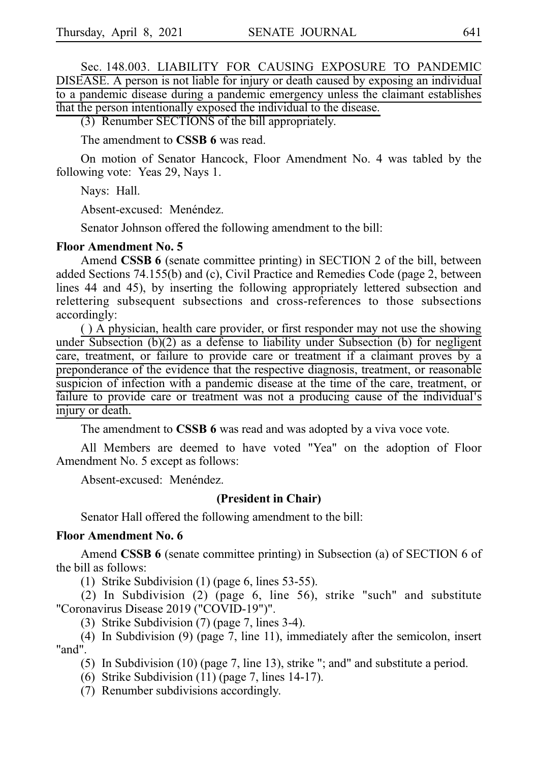Sec. 148.003. LIABILITY FOR CAUSING EXPOSURE TO PANDEMIC DISEASE. A person is not liable for injury or death caused by exposing an individual to a pandemic disease during a pandemic emergency unless the claimant establishes that the person intentionally exposed the individual to the disease.

 $(3)$  Renumber SECTIONS of the bill appropriately.

The amendment to **CSSB 6** was read.

On motion of Senator Hancock, Floor Amendment No. 4 was tabled by the following vote: Yeas 29, Nays 1.

Nays: Hall.

Absent-excused: Menéndez.

Senator Johnson offered the following amendment to the bill:

#### **Floor Amendment No. 5**

Amend **CSSB 6** (senate committee printing) in SECTION 2 of the bill, between added Sections 74.155(b) and (c), Civil Practice and Remedies Code (page 2, between lines 44 and 45), by inserting the following appropriately lettered subsection and relettering subsequent subsections and cross-references to those subsections accordingly:

( ) A physician, health care provider, or first responder may not use the showing under Subsection (b)(2) as a defense to liability under Subsection (b) for negligent care, treatment, or failure to provide care or treatment if a claimant proves by a preponderance of the evidence that the respective diagnosis, treatment, or reasonable suspicion of infection with a pandemic disease at the time of the care, treatment, or failure to provide care or treatment was not a producing cause of the individual's injury or death.

The amendment to **CSSB 6** was read and was adopted by a viva voce vote.

All Members are deemed to have voted "Yea" on the adoption of Floor Amendment No. 5 except as follows:

Absent-excused: Menéndez.

#### **(President in Chair)**

Senator Hall offered the following amendment to the bill:

#### **Floor Amendment No. 6**

Amend **CSSB 6** (senate committee printing) in Subsection (a) of SECTION 6 of the bill as follows:

(1) Strike Subdivision (1) (page 6, lines  $53-55$ ).

(2) In Subdivision (2) (page 6, line 56), strike "such" and substitute "Coronavirus Disease 2019 ("COVID-19")".

(3) Strike Subdivision (7) (page 7, lines  $3-4$ ).

(4) In Subdivision (9) (page 7, line 11), immediately after the semicolon, insert "and".

(5) In Subdivision (10) (page 7, line 13), strike "; and" and substitute a period.

(6) Strike Subdivision (11) (page 7, lines 14-17).

 $(7)$  Renumber subdivisions accordingly.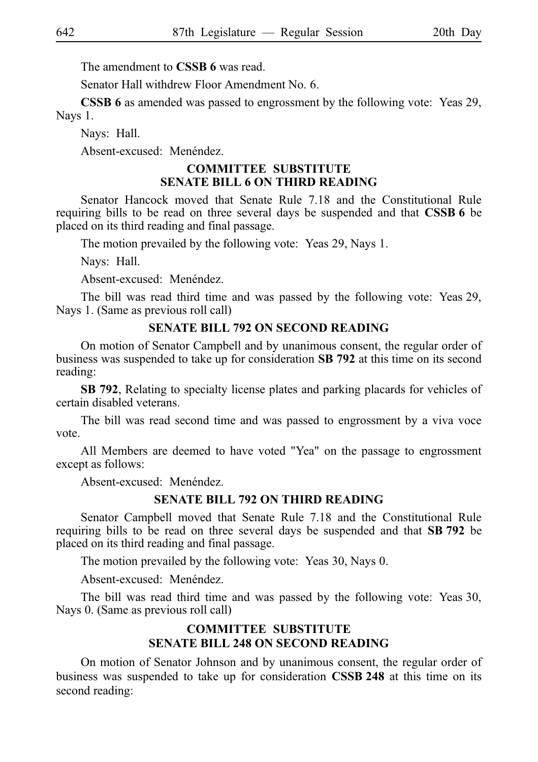The amendment to **CSSB 6** was read.

Senator Hall withdrew Floor Amendment No. 6.

**CSSB 6** as amended was passed to engrossment by the following vote: Yeas 29, Nays 1.

Nays: Hall.

Absent-excused: Menéndez.

#### **COMMITTEE SUBSTITUTE SENATE BILL 6 ON THIRD READING**

Senator Hancock moved that Senate Rule 7.18 and the Constitutional Rule requiring bills to be read on three several days be suspended and that **CSSB 6** be placed on its third reading and final passage.

The motion prevailed by the following vote: Yeas 29, Nays 1.

Nays: Hall.

Absent-excused: Menéndez.

The bill was read third time and was passed by the following vote: Yeas 29, Nays 1. (Same as previous roll call)

#### **SENATE BILL 792 ON SECOND READING**

On motion of Senator Campbell and by unanimous consent, the regular order of business was suspended to take up for consideration **SB 792** at this time on its second reading:

**SB 792**, Relating to specialty license plates and parking placards for vehicles of certain disabled veterans.

The bill was read second time and was passed to engrossment by a viva voce vote.

All Members are deemed to have voted "Yea" on the passage to engrossment except as follows:

Absent-excused: Menéndez.

#### **SENATE BILL 792 ON THIRD READING**

Senator Campbell moved that Senate Rule 7.18 and the Constitutional Rule requiring bills to be read on three several days be suspended and that SB 792 be placed on its third reading and final passage.

The motion prevailed by the following vote: Yeas 30, Nays 0.

Absent-excused: Menéndez.

The bill was read third time and was passed by the following vote: Yeas 30, Nays 0. (Same as previous roll call)

### **COMMITTEE SUBSTITUTE SENATE BILL 248 ON SECOND READING**

On motion of Senator Johnson and by unanimous consent, the regular order of business was suspended to take up for consideration **CSSB 248** at this time on its second reading: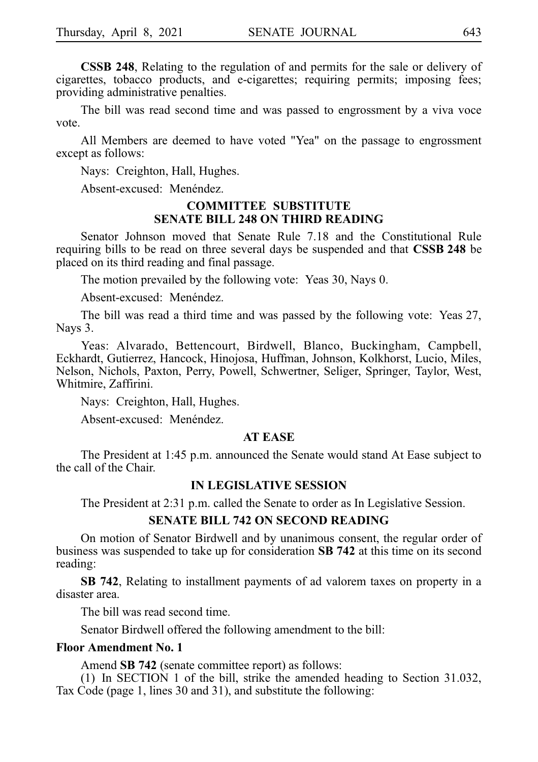**CSSB 248**, Relating to the regulation of and permits for the sale or delivery of cigarettes, tobacco products, and e-cigarettes; requiring permits; imposing fees; providing administrative penalties.

The bill was read second time and was passed to engrossment by a viva voce vote.

All Members are deemed to have voted "Yea" on the passage to engrossment except as follows:

Nays: Creighton, Hall, Hughes.

Absent-excused: Menéndez.

#### **COMMITTEE SUBSTITUTE SENATE BILL 248 ON THIRD READING**

Senator Johnson moved that Senate Rule 7.18 and the Constitutional Rule requiring bills to be read on three several days be suspended and that **CSSB 248** be placed on its third reading and final passage.

The motion prevailed by the following vote: Yeas 30, Nays 0.

Absent-excused: Menéndez.

The bill was read a third time and was passed by the following vote: Yeas 27, Nays 3.

Yeas: Alvarado, Bettencourt, Birdwell, Blanco, Buckingham, Campbell, Eckhardt, Gutierrez, Hancock, Hinojosa, Huffman, Johnson, Kolkhorst, Lucio, Miles, Nelson, Nichols, Paxton, Perry, Powell, Schwertner, Seliger, Springer, Taylor, West, Whitmire, Zaffirini.

Nays: Creighton, Hall, Hughes.

 $A<sub>best-excused</sub>$  Menéndez.

#### **AT EASE**

The President at 1:45 p.m. announced the Senate would stand At Ease subject to the call of the Chair.

#### **IN LEGISLATIVE SESSION**

The President at 2:31 p.m. called the Senate to order as In Legislative Session.

#### **SENATE BILL 742 ON SECOND READING**

On motion of Senator Birdwell and by unanimous consent, the regular order of business was suspended to take up for consideration **SB 742** at this time on its second reading:

**SB 742**, Relating to installment payments of ad valorem taxes on property in a disaster area.

The bill was read second time.

Senator Birdwell offered the following amendment to the bill:

#### **Floor Amendment No. 1**

Amend **SB 742** (senate committee report) as follows:

(1) In SECTION 1 of the bill, strike the amended heading to Section 31.032, Tax Code (page 1, lines 30 and 31), and substitute the following: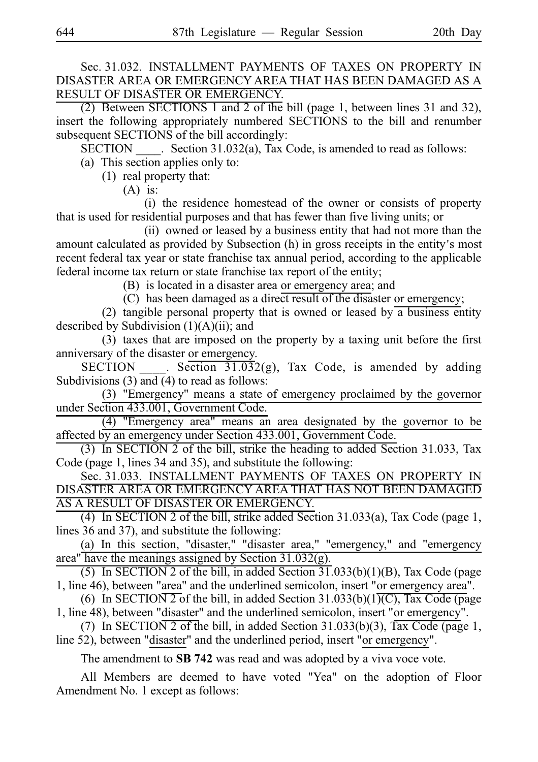### Sec. 31.032. INSTALLMENT PAYMENTS OF TAXES ON PROPERTY IN DISASTER AREA OR EMERGENCY AREA THAT HAS BEEN DAMAGED AS A RESULT OF DISASTER OR EMERGENCY.

(2) Between SECTIONS 1 and 2 of the bill (page 1, between lines 31 and 32), insert the following appropriately numbered SECTIONS to the bill and renumber subsequent SECTIONS of the bill accordingly:

 $\widetilde{\text{SECTION}}$  . Section 31.032(a), Tax Code, is amended to read as follows:

(a) This section applies only to:

 $(1)$  real property that:

 $(A)$  is:

(i) the residence homestead of the owner or consists of property that is used for residential purposes and that has fewer than five living units; or

(ii) owned or leased by a business entity that had not more than the amount calculated as provided by Subsection (h) in gross receipts in the entity's most recent federal tax year or state franchise tax annual period, according to the applicable federal income tax return or state franchise tax report of the entity;

(B) is located in a disaster area or emergency area; and

(C) has been damaged as a direct result of the disaster or emergency;

(2) tangible personal property that is owned or leased by a business entity described by Subdivision  $(1)(A)(ii)$ ; and

 $(3)$  taxes that are imposed on the property by a taxing unit before the first anniversary of the disaster or emergency.

SECTION Section  $\frac{31.032(g)}{1.032(g)}$ , Tax Code, is amended by adding Subdivisions (3) and (4) to read as follows:

(3) "Emergency" means a state of emergency proclaimed by the governor under Section 433.001, Government Code.

(4) "Emergency area" means an area designated by the governor to be affected by an emergency under Section 433.001, Government Code.

(3) In SECTION 2 of the bill, strike the heading to added Section 31.033, Tax Code (page 1, lines 34 and 35), and substitute the following:

Sec. 31.033. INSTALLMENT PAYMENTS OF TAXES ON PROPERTY IN DISASTER AREA OR EMERGENCY AREA THAT HAS NOT BEEN DAMAGED AS A RESULT OF DISASTER OR EMERGENCY.

(4) In SECTION 2 of the bill, strike added Section 31.033(a), Tax Code (page 1, lines 36 and 37), and substitute the following:

(a) In this section, "disaster," "disaster area," "emergency," and "emergency area" have the meanings assigned by Section 31.032(g).

(5) In SECTION 2 of the bill, in added Section  $\frac{37}{31}$ .033(b)(1)(B), Tax Code (page 1, line 46), between "area" and the underlined semicolon, insert "or emergency area".

(6) In SECTION 2 of the bill, in added Section 31.033(b)(1)(C), Tax Code (page 1, line 48), between "disaster" and the underlined semicolon, insert "or emergency".

(7) In SECTION 2 of the bill, in added Section 31.033(b)(3),  $\overline{\text{Tax Code}}$  (page 1, line 52), between "disaster" and the underlined period, insert "or emergency".

The amendment to **SB 742** was read and was adopted by a viva voce vote.

All Members are deemed to have voted "Yea" on the adoption of Floor Amendment No. 1 except as follows: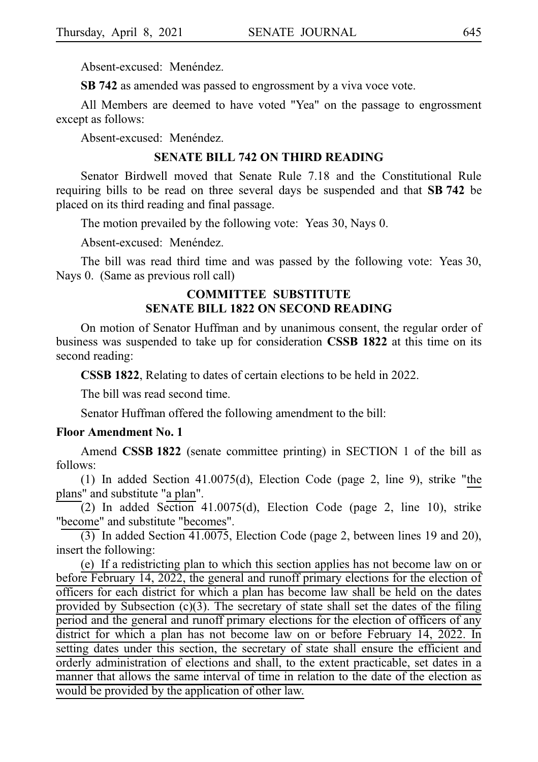Absent-excused: Menéndez.

**SB 742** as amended was passed to engrossment by a viva voce vote.

All Members are deemed to have voted "Yea" on the passage to engrossment except as follows:

Absent-excused: Menéndez.

#### **SENATE BILL 742 ON THIRD READING**

Senator Birdwell moved that Senate Rule 7.18 and the Constitutional Rule requiring bills to be read on three several days be suspended and that SB 742 be placed on its third reading and final passage.

The motion prevailed by the following vote: Yeas 30, Nays 0.

Absent-excused: Menéndez.

The bill was read third time and was passed by the following vote: Yeas 30, Nays 0. (Same as previous roll call)

# **COMMITTEE SUBSTITUTE SENATE BILL 1822 ON SECOND READING**

On motion of Senator Huffman and by unanimous consent, the regular order of business was suspended to take up for consideration **CSSB 1822** at this time on its second reading:

**CSSB 1822**, Relating to dates of certain elections to be held in 2022.

The bill was read second time.

Senator Huffman offered the following amendment to the bill:

#### **Floor Amendment No. 1**

Amend **CSSBi1822** (senate committee printing) in SECTION 1 of the bill as follows:

(1) In added Section 41.0075(d), Election Code (page 2, line 9), strike "the plans" and substitute "a plan".

(2) In added Section 41.0075(d), Election Code (page 2, line 10), strike "become" and substitute "becomes".

 $\overline{(3)}$  In added Section 41.0075, Election Code (page 2, between lines 19 and 20), insert the following:

(e) If a redistricting plan to which this section applies has not become law on or before February 14, 2022, the general and runoff primary elections for the election of officers for each district for which a plan has become law shall be held on the dates provided by Subsection (c)(3). The secretary of state shall set the dates of the filing period and the general and runoff primary elections for the election of officers of any district for which a plan has not become law on or before February 14, 2022. In setting dates under this section, the secretary of state shall ensure the efficient and orderly administration of elections and shall, to the extent practicable, set dates in a manner that allows the same interval of time in relation to the date of the election as would be provided by the application of other law.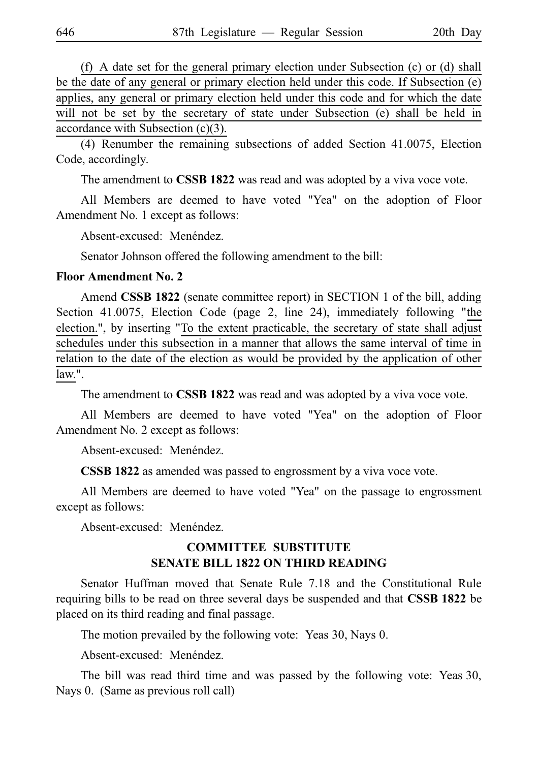(f) A date set for the general primary election under Subsection (c) or (d) shall be the date of any general or primary election held under this code. If Subsection (e) applies, any general or primary election held under this code and for which the date will not be set by the secretary of state under Subsection (e) shall be held in accordance with Subsection (c)(3).

(4) Renumber the remaining subsections of added Section 41.0075, Election Code, accordingly.

The amendment to **CSSB 1822** was read and was adopted by a viva voce vote.

All Members are deemed to have voted "Yea" on the adoption of Floor Amendment No. 1 except as follows:

Absent-excused: Menéndez.

Senator Johnson offered the following amendment to the bill:

#### **Floor Amendment No. 2**

Amend **CSSB 1822** (senate committee report) in SECTION 1 of the bill, adding Section 41.0075, Election Code (page 2, line 24), immediately following "the election.", by inserting "To the extent practicable, the secretary of state shall adjust schedules under this subsection in a manner that allows the same interval of time in relation to the date of the election as would be provided by the application of other law.".

The amendment to **CSSB 1822** was read and was adopted by a viva voce vote.

All Members are deemed to have voted "Yea" on the adoption of Floor Amendment No. 2 except as follows:

Absent-excused: Menéndez.

**CSSB 1822** as amended was passed to engrossment by a viva voce vote.

All Members are deemed to have voted "Yea" on the passage to engrossment except as follows:

Absent-excused: Menéndez.

# **COMMITTEE SUBSTITUTE SENATE BILL 1822 ON THIRD READING**

Senator Huffman moved that Senate Rule 7.18 and the Constitutional Rule requiring bills to be read on three several days be suspended and that **CSSBi1822** be placed on its third reading and final passage.

The motion prevailed by the following vote: Yeas 30, Nays 0.

Absent-excused: Menéndez.

The bill was read third time and was passed by the following vote: Yeas 30, Nays 0. (Same as previous roll call)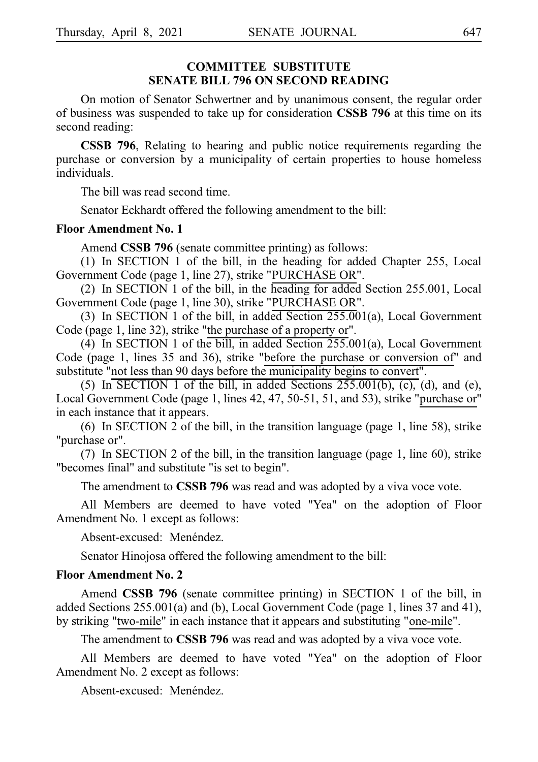#### **COMMITTEE SUBSTITUTE SENATE BILL 796 ON SECOND READING**

On motion of Senator Schwertner and by unanimous consent, the regular order of business was suspended to take up for consideration **CSSB 796** at this time on its second reading:

**CSSB 796**, Relating to hearing and public notice requirements regarding the purchase or conversion by a municipality of certain properties to house homeless individuals.

The bill was read second time.

Senator Eckhardt offered the following amendment to the bill:

#### **Floor Amendment No. 1**

Amend **CSSB 796** (senate committee printing) as follows:

(1) In SECTION 1 of the bill, in the heading for added Chapter 255, Local Government Code (page 1, line 27), strike "PURCHASE OR".

(2) In SECTION 1 of the bill, in the heading for added Section 255.001, Local Government Code (page 1, line 30), strike "PURCHASE OR".

(3) In SECTION 1 of the bill, in added Section  $255.001(a)$ , Local Government Code (page 1, line 32), strike "the purchase of a property or".

(4) In SECTION 1 of the bill, in added Section  $255.001(a)$ , Local Government Code (page 1, lines 35 and 36), strike "before the purchase or conversion of" and substitute "not less than 90 days before the municipality begins to convert".

(5) In SECTION 1 of the bill, in added Sections  $255.001(b)$ , (c), (d), and (e), Local Government Code (page 1, lines 42, 47, 50-51, 51, and 53), strike "purchase or" in each instance that it appears.

(6) In SECTION  $2$  of the bill, in the transition language (page 1, line 58), strike "purchase or".

(7) In SECTION 2 of the bill, in the transition language (page 1, line 60), strike "becomes final" and substitute "is set to begin".

The amendment to **CSSB 796** was read and was adopted by a viva voce vote.

All Members are deemed to have voted "Yea" on the adoption of Floor Amendment No. 1 except as follows:

Absent-excused: Menéndez.

Senator Hinojosa offered the following amendment to the bill:

### **Floor Amendment No. 2**

Amend **CSSB 796** (senate committee printing) in SECTION 1 of the bill, in added Sections 255.001(a) and (b), Local Government Code (page 1, lines 37 and 41), by striking "two-mile" in each instance that it appears and substituting "one-mile".

The amendment to **CSSB 796** was read and was adopted by a viva voce vote.

All Members are deemed to have voted "Yea" on the adoption of Floor Amendment No. 2 except as follows:

Absent-excused: Menéndez.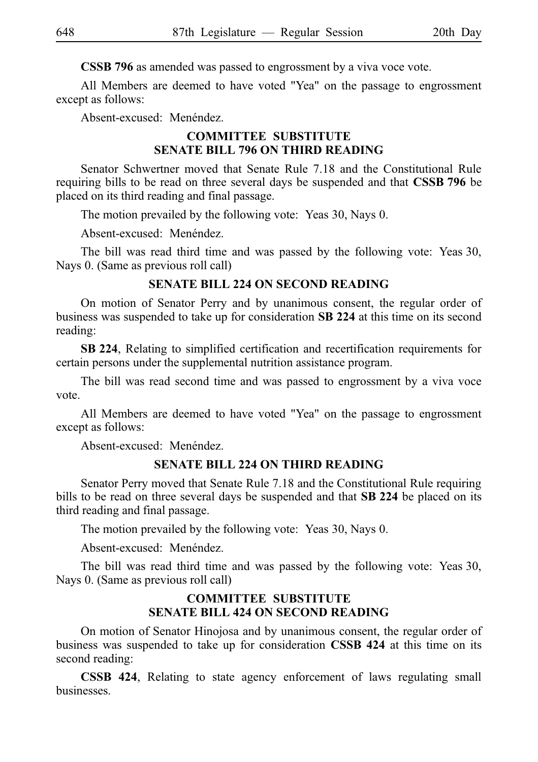**CSSB 796** as amended was passed to engrossment by a viva voce vote.

All Members are deemed to have voted "Yea" on the passage to engrossment except as follows:

Absent-excused: Menéndez.

### **COMMITTEE SUBSTITUTE SENATE BILL 796 ON THIRD READING**

Senator Schwertner moved that Senate Rule 7.18 and the Constitutional Rule requiring bills to be read on three several days be suspended and that **CSSB 796** be placed on its third reading and final passage.

The motion prevailed by the following vote: Yeas 30, Nays 0.

Absent-excused: Menéndez.

The bill was read third time and was passed by the following vote: Yeas 30, Nays 0. (Same as previous roll call)

#### **SENATE BILL 224 ON SECOND READING**

On motion of Senator Perry and by unanimous consent, the regular order of business was suspended to take up for consideration **SB 224** at this time on its second reading:

**SBi224**, Relating to simplified certification and recertification requirements for certain persons under the supplemental nutrition assistance program.

The bill was read second time and was passed to engrossment by a viva voce vote.

All Members are deemed to have voted "Yea" on the passage to engrossment except as follows:

Absent-excused: Menéndez.

#### **SENATE BILL 224 ON THIRD READING**

Senator Perry moved that Senate Rule 7.18 and the Constitutional Rule requiring bills to be read on three several days be suspended and that **SB 224** be placed on its third reading and final passage.

The motion prevailed by the following vote: Yeas 30, Nays 0.

Absent-excused: Menéndez.

The bill was read third time and was passed by the following vote: Yeas 30, Nays 0. (Same as previous roll call)

#### **COMMITTEE SUBSTITUTE SENATE BILL 424 ON SECOND READING**

On motion of Senator Hinojosa and by unanimous consent, the regular order of business was suspended to take up for consideration **CSSB 424** at this time on its second reading:

**CSSB 424**, Relating to state agency enforcement of laws regulating small businesses.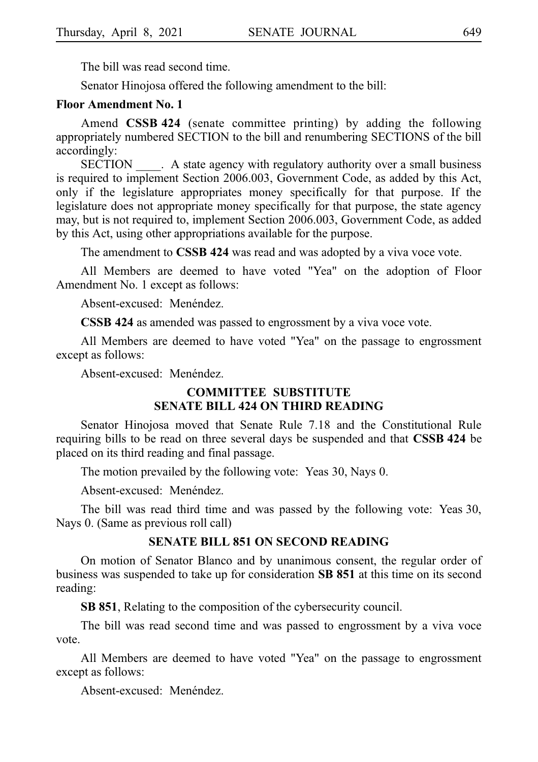The bill was read second time.

Senator Hinojosa offered the following amendment to the bill:

#### **Floor Amendment No. 1**

Amend **CSSB 424** (senate committee printing) by adding the following appropriately numbered SECTION to the bill and renumbering SECTIONS of the bill accordingly:

SECTION A state agency with regulatory authority over a small business is required to implement Section 2006.003, Government Code, as added by this Act, only if the legislature appropriates money specifically for that purpose. If the legislature does not appropriate money specifically for that purpose, the state agency may, but is not required to, implement Section 2006.003, Government Code, as added by this Act, using other appropriations available for the purpose.

The amendment to **CSSB 424** was read and was adopted by a viva voce vote.

All Members are deemed to have voted "Yea" on the adoption of Floor Amendment No. 1 except as follows:

Absent-excused: Menéndez.

**CSSB 424** as amended was passed to engrossment by a viva voce vote.

All Members are deemed to have voted "Yea" on the passage to engrossment except as follows:

Absent-excused: Menéndez.

#### **COMMITTEE SUBSTITUTE SENATE BILL 424 ON THIRD READING**

Senator Hinojosa moved that Senate Rule 7.18 and the Constitutional Rule requiring bills to be read on three several days be suspended and that **CSSB 424** be placed on its third reading and final passage.

The motion prevailed by the following vote: Yeas 30, Nays 0.

Absent-excused: Menéndez.

The bill was read third time and was passed by the following vote: Yeas 30, Nays 0. (Same as previous roll call)

#### **SENATE BILL 851 ON SECOND READING**

On motion of Senator Blanco and by unanimous consent, the regular order of business was suspended to take up for consideration **SB 851** at this time on its second reading:

**SB 851**, Relating to the composition of the cybersecurity council.

The bill was read second time and was passed to engrossment by a viva voce vote.

All Members are deemed to have voted "Yea" on the passage to engrossment except as follows:

Absent-excused: Menéndez.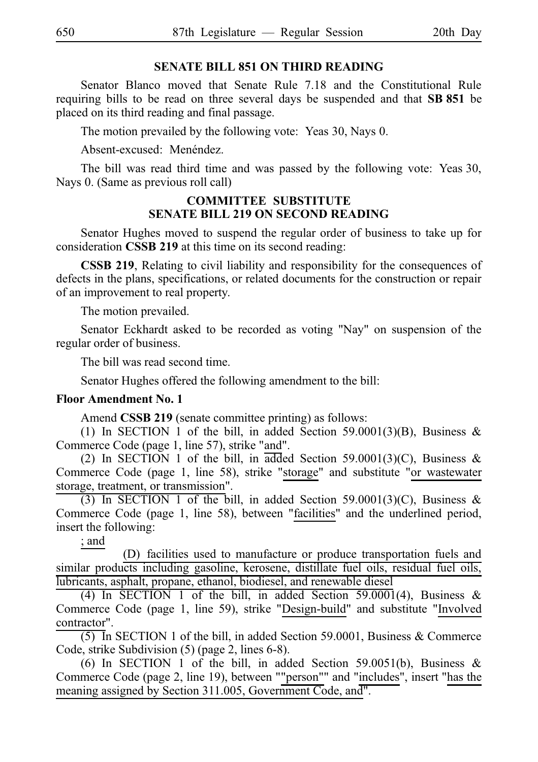### **SENATE BILL 851 ON THIRD READING**

Senator Blanco moved that Senate Rule 7.18 and the Constitutional Rule requiring bills to be read on three several days be suspended and that SB 851 be placed on its third reading and final passage.

The motion prevailed by the following vote: Yeas 30, Nays 0.

Absent-excused: Menéndez.

The bill was read third time and was passed by the following vote: Yeas 30, Nays 0. (Same as previous roll call)

### **COMMITTEE SUBSTITUTE SENATE BILL 219 ON SECOND READING**

Senator Hughes moved to suspend the regular order of business to take up for consideration **CSSB 219** at this time on its second reading:

**CSSB 219**, Relating to civil liability and responsibility for the consequences of defects in the plans, specifications, or related documents for the construction or repair of an improvement to real property.

The motion prevailed.

Senator Eckhardt asked to be recorded as voting "Nay" on suspension of the regular order of business.

The bill was read second time.

Senator Hughes offered the following amendment to the bill:

# **Floor Amendment No. 1**

Amend **CSSB 219** (senate committee printing) as follows:

(1) In SECTION 1 of the bill, in added Section 59.0001(3)(B), Business & Commerce Code (page 1, line 57), strike "and".

(2) In SECTION 1 of the bill, in added Section 59.0001(3)(C), Business & Commerce Code (page 1, line 58), strike "storage" and substitute "or wastewater storage, treatment, or transmission".

(3) In SECTION 1 of the bill, in added Section 59.0001(3)(C), Business & Commerce Code (page 1, line 58), between "facilities" and the underlined period, insert the following:

; and

(D) facilities used to manufacture or produce transportation fuels and similar products including gasoline, kerosene, distillate fuel oils, residual fuel oils, lubricants, asphalt, propane, ethanol, biodiesel, and renewable diesel

(4) In SECTION 1 of the bill, in added Section  $59.0001(4)$ , Business & Commerce Code (page 1, line 59), strike "Design-build" and substitute "Involved contractor".

 $(5)$  In SECTION 1 of the bill, in added Section 59.0001, Business & Commerce Code, strike Subdivision (5) (page 2, lines 6-8).

(6) In SECTION 1 of the bill, in added Section 59.0051(b), Business & Commerce Code (page 2, line 19), between ""person"" and "includes", insert "has the meaning assigned by Section 311.005, Government Code, and".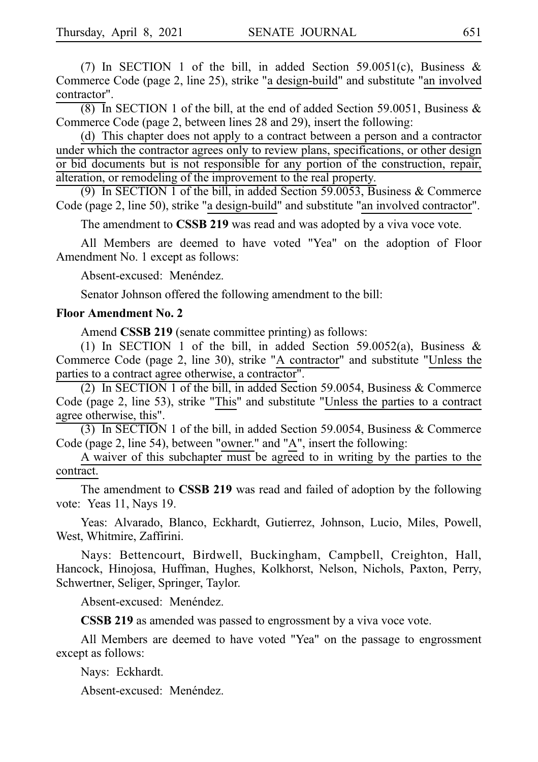(7) In SECTION 1 of the bill, in added Section 59.0051(c), Business & Commerce Code (page 2, line 25), strike "a design-build" and substitute "an involved contractor".

 $(8)$  In SECTION 1 of the bill, at the end of added Section 59.0051, Business & Commerce Code (page 2, between lines 28 and 29), insert the following:

(d) This chapter does not apply to a contract between a person and a contractor under which the contractor agrees only to review plans, specifications, or other design or bid documents but is not responsible for any portion of the construction, repair, alteration, or remodeling of the improvement to the real property.

(9) In SECTION 1 of the bill, in added Section 59.0053, Business  $&$  Commerce Code (page 2, line 50), strike "a design-build" and substitute "an involved contractor".

The amendment to **CSSB 219** was read and was adopted by a viva voce vote.

All Members are deemed to have voted "Yea" on the adoption of Floor Amendment No. 1 except as follows:

Absent-excused: Menéndez.

Senator Johnson offered the following amendment to the bill:

#### **Floor Amendment No. 2**

Amend **CSSB 219** (senate committee printing) as follows:

(1) In SECTION 1 of the bill, in added Section 59.0052(a), Business & Commerce Code (page 2, line 30), strike "A contractor" and substitute "Unless the parties to a contract agree otherwise, a contractor".

(2) In SECTION 1 of the bill, in added Section 59.0054, Business  $&$  Commerce Code (page 2, line 53), strike "This" and substitute "Unless the parties to a contract agree otherwise, this".

(3) In SECTION 1 of the bill, in added Section 59.0054, Business  $&$  Commerce Code (page 2, line 54), between "owner." and "A", insert the following:

A waiver of this subchapter must be agreed to in writing by the parties to the contract.

The amendment to **CSSB 219** was read and failed of adoption by the following vote: Yeas 11, Nays 19.

Yeas: Alvarado, Blanco, Eckhardt, Gutierrez, Johnson, Lucio, Miles, Powell, West, Whitmire, Zaffirini.

Nays: Bettencourt, Birdwell, Buckingham, Campbell, Creighton, Hall, Hancock, Hinojosa, Huffman, Hughes, Kolkhorst, Nelson, Nichols, Paxton, Perry, Schwertner, Seliger, Springer, Taylor.

Absent-excused: Menéndez.

**CSSB 219** as amended was passed to engrossment by a viva voce vote.

All Members are deemed to have voted "Yea" on the passage to engrossment except as follows:

Nays: Eckhardt.

Absent-excused: Menéndez.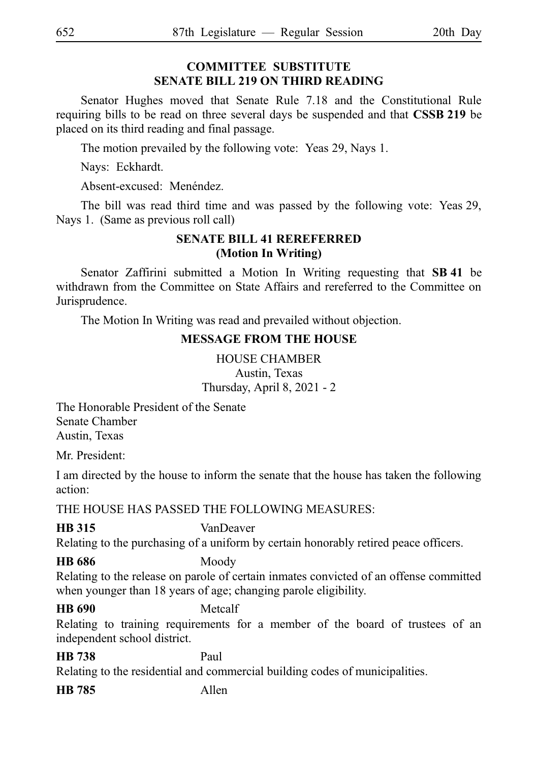# **COMMITTEE SUBSTITUTE SENATE BILL 219 ON THIRD READING**

Senator Hughes moved that Senate Rule 7.18 and the Constitutional Rule requiring bills to be read on three several days be suspended and that **CSSB 219** be placed on its third reading and final passage.

The motion prevailed by the following vote: Yeas 29, Nays 1.

Nays: Eckhardt.

Absent-excused: Menéndez.

The bill was read third time and was passed by the following vote: Yeas 29, Nays 1. (Same as previous roll call)

# **SENATE BILL 41 REREFERRED (Motion In Writing)**

Senator Zaffirini submitted a Motion In Writing requesting that SB 41 be withdrawn from the Committee on State Affairs and rereferred to the Committee on Jurisprudence.

The Motion In Writing was read and prevailed without objection.

# **MESSAGE FROM THE HOUSE**

HOUSE CHAMBER Austin, Texas Thursday, April 8, 2021 - 2

The Honorable President of the Senate Senate Chamber Austin, Texas

Mr. President:

I am directed by the house to inform the senate that the house has taken the following action:

THE HOUSE HAS PASSED THE FOLLOWING MEASURES:

# **HB 315** VanDeaver

Relating to the purchasing of a uniform by certain honorably retired peace officers.

# **HB 686** Moody

Relating to the release on parole of certain inmates convicted of an offense committed when younger than 18 years of age; changing parole eligibility.

# **HB 690** Metcalf

Relating to training requirements for a member of the board of trustees of an independent school district.

**HB 738** Paul

Relating to the residential and commercial building codes of municipalities.

**HB 785** Allen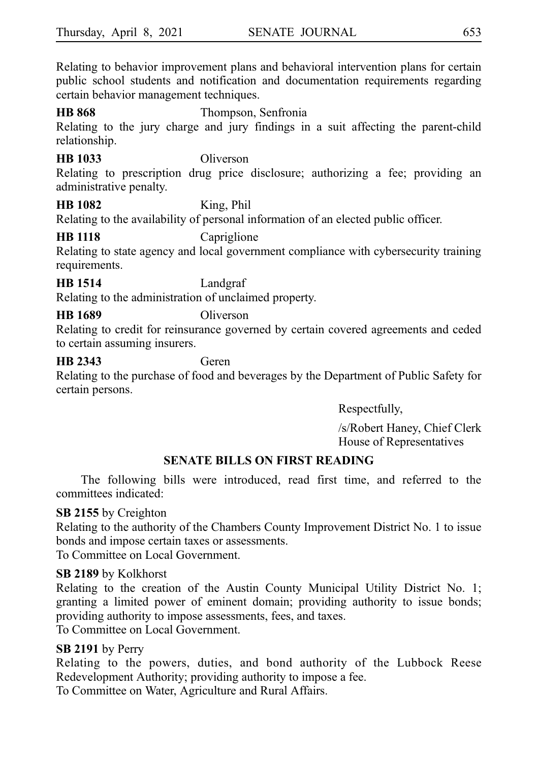Relating to behavior improvement plans and behavioral intervention plans for certain public school students and notification and documentation requirements regarding certain behavior management techniques.

**HB 868** Thompson, Senfronia Relating to the jury charge and jury findings in a suit affecting the parent-child relationship.

# **HB 1033** Oliverson

Relating to prescription drug price disclosure; authorizing a fee; providing an administrative penalty.

**HB 1082** King, Phil

Relating to the availability of personal information of an elected public officer.

### **HB 1118** Capriglione

Relating to state agency and local government compliance with cybersecurity training requirements.

**HB 1514** Landgraf

Relating to the administration of unclaimed property.

# **HB 1689** Oliverson

Relating to credit for reinsurance governed by certain covered agreements and ceded to certain assuming insurers.

# **HB 2343** Geren

Relating to the purchase of food and beverages by the Department of Public Safety for certain persons.

Respectfully,

/s/Robert Haney, Chief Clerk House of Representatives

# **SENATE BILLS ON FIRST READING**

The following bills were introduced, read first time, and referred to the committees indicated:

# **SB 2155** by Creighton

Relating to the authority of the Chambers County Improvement District No. 1 to issue bonds and impose certain taxes or assessments.

To Committee on Local Government.

# **SB 2189** by Kolkhorst

Relating to the creation of the Austin County Municipal Utility District No. 1; granting a limited power of eminent domain; providing authority to issue bonds; providing authority to impose assessments, fees, and taxes.

To Committee on Local Government.

# **SB 2191** by Perry

Relating to the powers, duties, and bond authority of the Lubbock Reese Redevelopment Authority; providing authority to impose a fee.

To Committee on Water, Agriculture and Rural Affairs.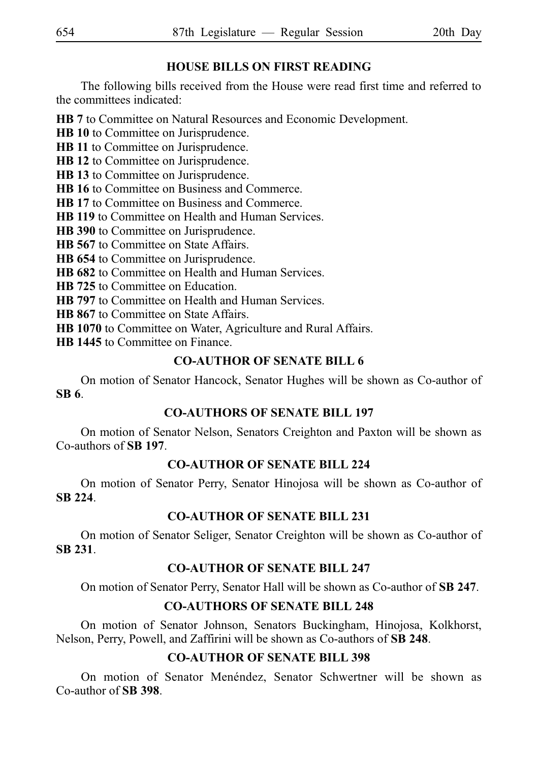# **HOUSE BILLS ON FIRST READING**

The following bills received from the House were read first time and referred to the committees indicated:

**HB 7** to Committee on Natural Resources and Economic Development.

**HB 10** to Committee on Jurisprudence.

**HB 11** to Committee on Jurisprudence.

**HB 12** to Committee on Jurisprudence.

**HB 13** to Committee on Jurisprudence.

**HB 16** to Committee on Business and Commerce.

**HB 17** to Committee on Business and Commerce.

**HB 119** to Committee on Health and Human Services.

**HB 390** to Committee on Jurisprudence.

**HB 567** to Committee on State Affairs.

**HB 654** to Committee on Jurisprudence.

**HB 682** to Committee on Health and Human Services.

**HB 725** to Committee on Education.

**HB 797** to Committee on Health and Human Services.

**HB 867** to Committee on State Affairs.

**HB 1070** to Committee on Water, Agriculture and Rural Affairs.

**HB 1445** to Committee on Finance.

# **CO-AUTHOR OF SENATE BILL 6**

On motion of Senator Hancock, Senator Hughes will be shown as Co-author of **SBi6**.

# **CO-AUTHORS OF SENATE BILL 197**

On motion of Senator Nelson, Senators Creighton and Paxton will be shown as Co-authors of **SBi197**.

# **CO-AUTHOR OF SENATE BILL 224**

On motion of Senator Perry, Senator Hinojosa will be shown as Co-author of **SBi224**.

# **CO-AUTHOR OF SENATE BILL 231**

On motion of Senator Seliger, Senator Creighton will be shown as Co-author of **SBi231**.

# **CO-AUTHOR OF SENATE BILL 247**

On motion of Senator Perry, Senator Hall will be shown as Co-author of SB 247.

# **CO-AUTHORS OF SENATE BILL 248**

On motion of Senator Johnson, Senators Buckingham, Hinojosa, Kolkhorst, Nelson, Perry, Powell, and Zaffirini will be shown as Co-authors of **SBi248**.

# **CO-AUTHOR OF SENATE BILL 398**

On motion of Senator Menéndez, Senator Schwertner will be shown as Co-author of **SBi398**.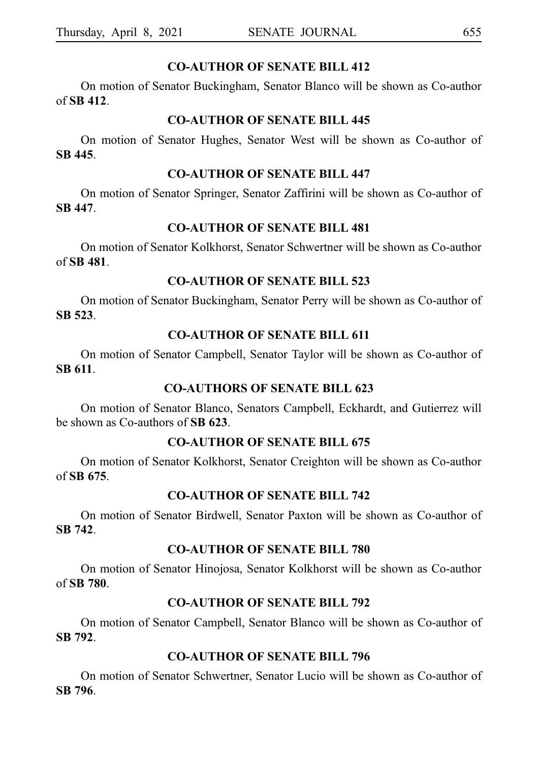#### **CO-AUTHOR OF SENATE BILL 412**

On motion of Senator Buckingham, Senator Blanco will be shown as Co-author of **SBi412**.

#### **CO-AUTHOR OF SENATE BILL 445**

On motion of Senator Hughes, Senator West will be shown as Co-author of **SBi445**.

# **CO-AUTHOR OF SENATE BILL 447**

On motion of Senator Springer, Senator Zaffirini will be shown as Co-author of **SBi447**.

#### **CO-AUTHOR OF SENATE BILL 481**

On motion of Senator Kolkhorst, Senator Schwertner will be shown as Co-author of **SBi481**.

# **CO-AUTHOR OF SENATE BILL 523**

On motion of Senator Buckingham, Senator Perry will be shown as Co-author of **SBi523**.

# **CO-AUTHOR OF SENATE BILL 611**

On motion of Senator Campbell, Senator Taylor will be shown as Co-author of **SBi611**.

#### **CO-AUTHORS OF SENATE BILL 623**

On motion of Senator Blanco, Senators Campbell, Eckhardt, and Gutierrez will be shown as Co-authors of **SBi623**.

### **CO-AUTHOR OF SENATE BILL 675**

On motion of Senator Kolkhorst, Senator Creighton will be shown as Co-author of **SBi675**.

# **CO-AUTHOR OF SENATE BILL 742**

On motion of Senator Birdwell, Senator Paxton will be shown as Co-author of **SBi742**.

#### **CO-AUTHOR OF SENATE BILL 780**

On motion of Senator Hinojosa, Senator Kolkhorst will be shown as Co-author of **SBi780**.

#### **CO-AUTHOR OF SENATE BILL 792**

On motion of Senator Campbell, Senator Blanco will be shown as Co-author of **SBi792**.

### **CO-AUTHOR OF SENATE BILL 796**

On motion of Senator Schwertner, Senator Lucio will be shown as Co-author of **SBi796**.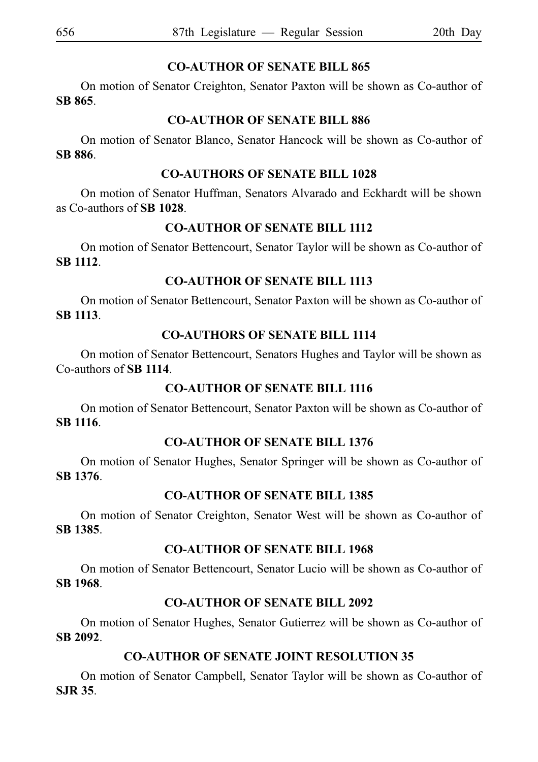# **CO-AUTHOR OF SENATE BILL 865**

On motion of Senator Creighton, Senator Paxton will be shown as Co-author of **SBi865**.

# **CO-AUTHOR OF SENATE BILL 886**

On motion of Senator Blanco, Senator Hancock will be shown as Co-author of **SBi886**.

# **CO-AUTHORS OF SENATE BILL 1028**

On motion of Senator Huffman, Senators Alvarado and Eckhardt will be shown as Co-authors of **SBi1028**.

# **CO-AUTHOR OF SENATE BILL 1112**

On motion of Senator Bettencourt, Senator Taylor will be shown as Co-author of **SBi1112**.

# **CO-AUTHOR OF SENATE BILL 1113**

On motion of Senator Bettencourt, Senator Paxton will be shown as Co-author of **SBi1113**.

# **CO-AUTHORS OF SENATE BILL 1114**

On motion of Senator Bettencourt, Senators Hughes and Taylor will be shown as Co-authors of **SBi1114**.

# **CO-AUTHOR OF SENATE BILL 1116**

On motion of Senator Bettencourt, Senator Paxton will be shown as Co-author of **SBi1116**.

# **CO-AUTHOR OF SENATE BILL 1376**

On motion of Senator Hughes, Senator Springer will be shown as Co-author of **SBi1376**.

# **CO-AUTHOR OF SENATE BILL 1385**

On motion of Senator Creighton, Senator West will be shown as Co-author of **SBi1385**.

# **CO-AUTHOR OF SENATE BILL 1968**

On motion of Senator Bettencourt, Senator Lucio will be shown as Co-author of **SBi1968**.

# **CO-AUTHOR OF SENATE BILL 2092**

On motion of Senator Hughes, Senator Gutierrez will be shown as Co-author of **SBi2092**.

# **CO-AUTHOR OF SENATE JOINT RESOLUTION 35**

On motion of Senator Campbell, Senator Taylor will be shown as Co-author of **SJRi35**.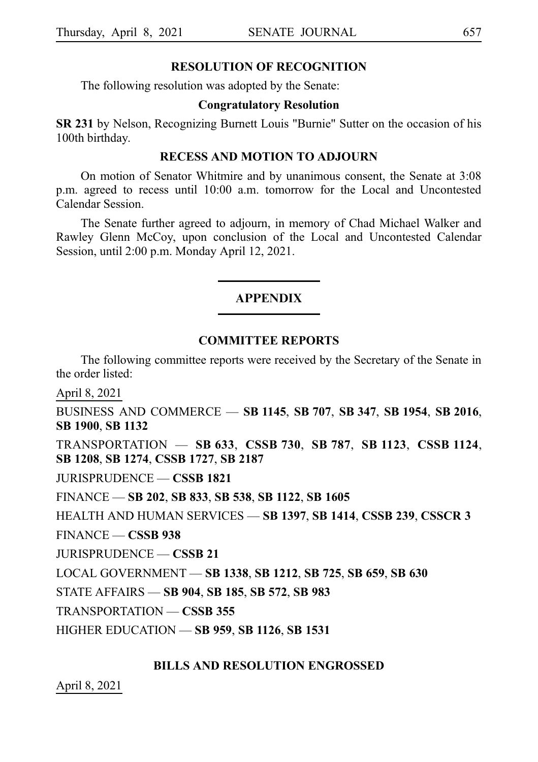#### **RESOLUTION OF RECOGNITION**

The following resolution was adopted by the Senate:

#### **Congratulatory Resolution**

**SR 231** by Nelson, Recognizing Burnett Louis "Burnie" Sutter on the occasion of his 100th birthday.

#### **RECESS AND MOTION TO ADJOURN**

On motion of Senator Whitmire and by unanimous consent, the Senate at 3:08 p.m. agreed to recess until 10:00 a.m. tomorrow for the Local and Uncontested Calendar Session.

The Senate further agreed to adjourn, in memory of Chad Michael Walker and Rawley Glenn McCoy, upon conclusion of the Local and Uncontested Calendar Session, until 2:00 p.m. Monday April 12, 2021.

#### **APPENDIX**

#### **COMMITTEE REPORTS**

The following committee reports were received by the Secretary of the Senate in the order listed:

April 8, 2021

BUSINESS AND COMMERCE — **SB**i**1145**, **SB**i**707**, **SB**i**347**, **SB**i**1954**, **SB**i**2016**, **SB**i**1900**, **SB**i**1132**

TRANSPORTATION — **SB**i**633**, **CSSB**i**730**, **SB**i**787**, **SB**i**1123**, **CSSB**i**1124**, **SB**i**1208**, **SB**i**1274**, **CSSB**i**1727**, **SB**i**2187**

JURISPRUDENCE — **CSSB**i**1821**

FINANCE — **SB**i**202**, **SB**i**833**, **SB**i**538**, **SB**i**1122**, **SB**i**1605**

HEALTH AND HUMAN SERVICES — **SB**i**1397**, **SB**i**1414**, **CSSB**i**239**, **CSSCR**i**3**

FINANCE — **CSSB**i**938**

JURISPRUDENCE — **CSSB**i**21**

LOCAL GOVERNMENT — **SB**i**1338**, **SB**i**1212**, **SB**i**725**, **SB**i**659**, **SB**i**630**

STATE AFFAIRS — **SB**i**904**, **SB**i**185**, **SB**i**572**, **SB**i**983**

TRANSPORTATION — **CSSB**i**355**

HIGHER EDUCATION — **SB**i**959**, **SB**i**1126**, **SB**i**1531**

#### **BILLS AND RESOLUTION ENGROSSED**

April 8, 2021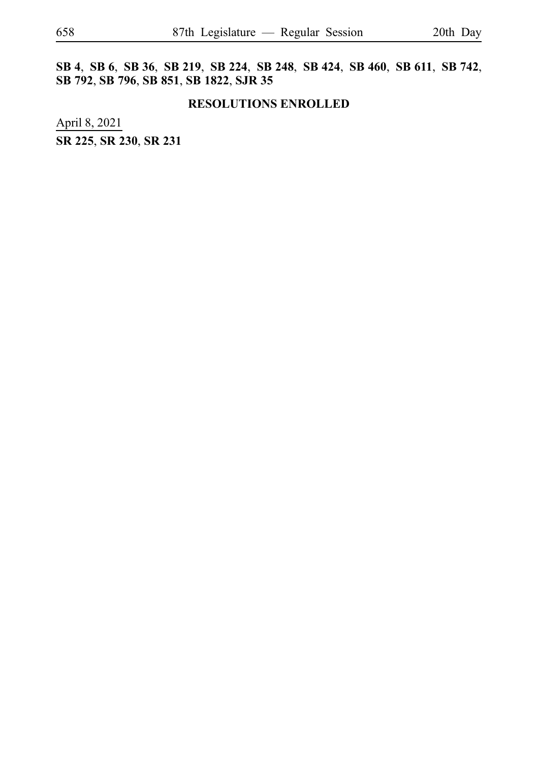**SB**i**4**, **SB**i**6**, **SB**i**36**, **SB**i**219**, **SB**i**224**, **SB**i**248**, **SB**i**424**, **SB**i**460**, **SB**i**611**, **SB**i**742**, **SB**i**792**, **SB**i**796**, **SB**i**851**, **SB**i**1822**, **SJR**i**35**

#### **RESOLUTIONS ENROLLED**

April 8, 2021 **SR**i**225**, **SR**i**230**, **SR**i**231**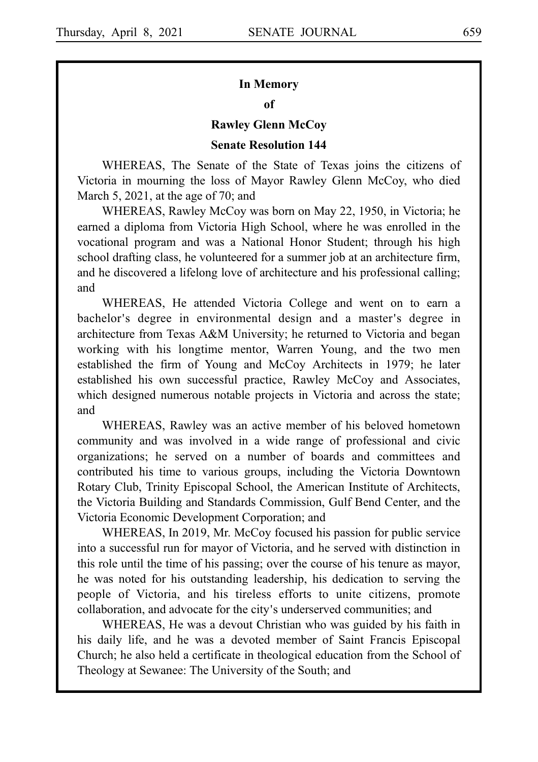# **In Memory**

#### **of**

#### **Rawley Glenn McCoy**

#### **Senate Resolution 144**

WHEREAS, The Senate of the State of Texas joins the citizens of Victoria in mourning the loss of Mayor Rawley Glenn McCoy, who died March 5, 2021, at the age of 70; and

WHEREAS, Rawley McCoy was born on May 22, 1950, in Victoria; he earned a diploma from Victoria High School, where he was enrolled in the vocational program and was a National Honor Student; through his high school drafting class, he volunteered for a summer job at an architecture firm, and he discovered a lifelong love of architecture and his professional calling; and

WHEREAS, He attended Victoria College and went on to earn a bachelor's degree in environmental design and a master's degree in architecture from Texas A&M University; he returned to Victoria and began working with his longtime mentor, Warren Young, and the two men established the firm of Young and McCoy Architects in 1979; he later established his own successful practice, Rawley McCoy and Associates, which designed numerous notable projects in Victoria and across the state; and

WHEREAS, Rawley was an active member of his beloved hometown community and was involved in a wide range of professional and civic organizations; he served on a number of boards and committees and contributed his time to various groups, including the Victoria Downtown Rotary Club, Trinity Episcopal School, the American Institute of Architects, the Victoria Building and Standards Commission, Gulf Bend Center, and the Victoria Economic Development Corporation; and

WHEREAS, In 2019, Mr. McCoy focused his passion for public service into a successful run for mayor of Victoria, and he served with distinction in this role until the time of his passing; over the course of his tenure as mayor, he was noted for his outstanding leadership, his dedication to serving the people of Victoria, and his tireless efforts to unite citizens, promote collaboration, and advocate for the city's underserved communities; and

WHEREAS, He was a devout Christian who was guided by his faith in his daily life, and he was a devoted member of Saint Francis Episcopal Church; he also held a certificate in theological education from the School of Theology at Sewanee: The University of the South; and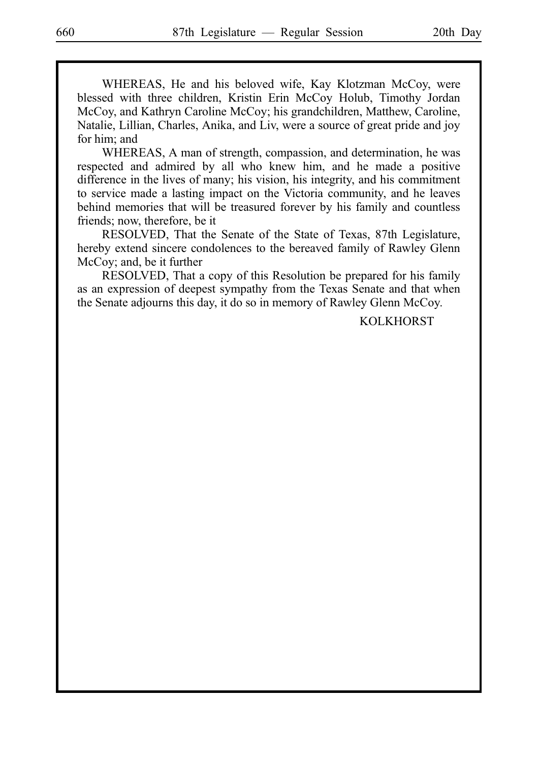WHEREAS, He and his beloved wife, Kay Klotzman McCoy, were blessed with three children, Kristin Erin McCoy Holub, Timothy Jordan McCoy, and Kathryn Caroline McCoy; his grandchildren, Matthew, Caroline, Natalie, Lillian, Charles, Anika, and Liv, were a source of great pride and joy for him; and

WHEREAS, A man of strength, compassion, and determination, he was respected and admired by all who knew him, and he made a positive difference in the lives of many; his vision, his integrity, and his commitment to service made a lasting impact on the Victoria community, and he leaves behind memories that will be treasured forever by his family and countless friends; now, therefore, be it

RESOLVED, That the Senate of the State of Texas, 87th Legislature, hereby extend sincere condolences to the bereaved family of Rawley Glenn McCoy; and, be it further

RESOLVED, That a copy of this Resolution be prepared for his family as an expression of deepest sympathy from the Texas Senate and that when the Senate adjourns this day, it do so in memory of Rawley Glenn McCoy.

**KOLKHORST**